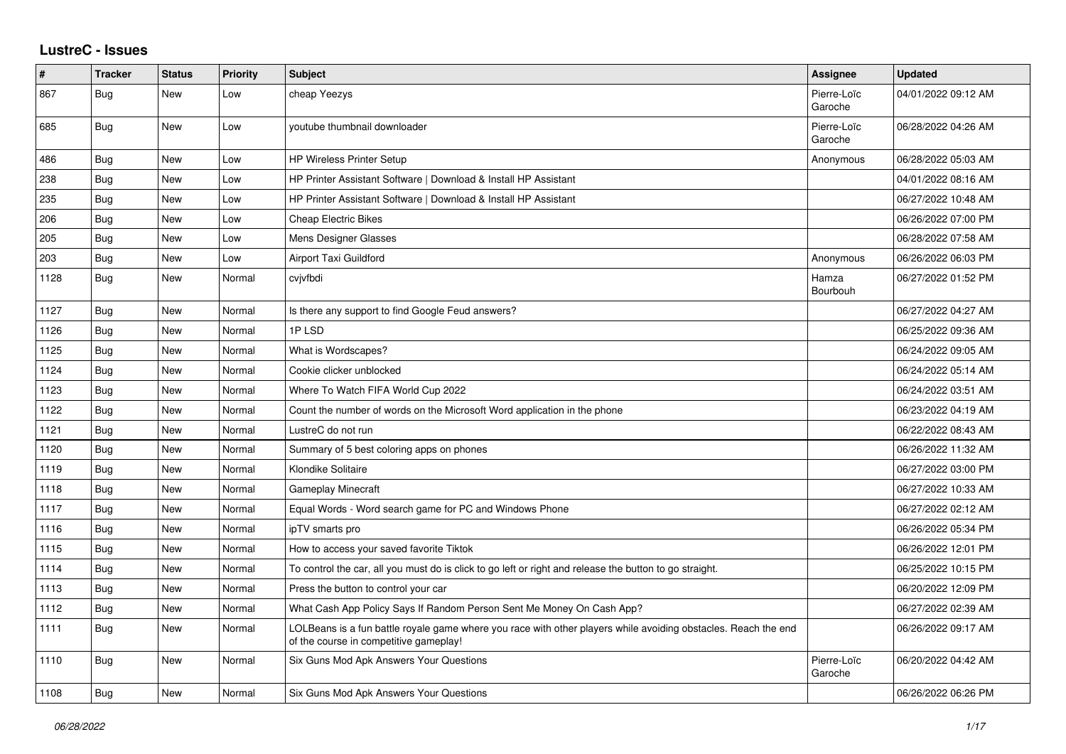## **LustreC - Issues**

| #    | <b>Tracker</b> | <b>Status</b> | <b>Priority</b> | <b>Subject</b>                                                                                                                                           | Assignee               | <b>Updated</b>      |
|------|----------------|---------------|-----------------|----------------------------------------------------------------------------------------------------------------------------------------------------------|------------------------|---------------------|
| 867  | Bug            | New           | Low             | cheap Yeezys                                                                                                                                             | Pierre-Loïc<br>Garoche | 04/01/2022 09:12 AM |
| 685  | Bug            | New           | Low             | voutube thumbnail downloader                                                                                                                             | Pierre-Loïc<br>Garoche | 06/28/2022 04:26 AM |
| 486  | Bug            | <b>New</b>    | Low             | <b>HP Wireless Printer Setup</b>                                                                                                                         | Anonymous              | 06/28/2022 05:03 AM |
| 238  | Bug            | <b>New</b>    | Low             | HP Printer Assistant Software   Download & Install HP Assistant                                                                                          |                        | 04/01/2022 08:16 AM |
| 235  | Bug            | New           | Low             | HP Printer Assistant Software   Download & Install HP Assistant                                                                                          |                        | 06/27/2022 10:48 AM |
| 206  | Bug            | New           | Low             | <b>Cheap Electric Bikes</b>                                                                                                                              |                        | 06/26/2022 07:00 PM |
| 205  | Bug            | <b>New</b>    | Low             | Mens Designer Glasses                                                                                                                                    |                        | 06/28/2022 07:58 AM |
| 203  | Bug            | New           | Low             | <b>Airport Taxi Guildford</b>                                                                                                                            | Anonymous              | 06/26/2022 06:03 PM |
| 1128 | Bug            | <b>New</b>    | Normal          | cvjvfbdi                                                                                                                                                 | Hamza<br>Bourbouh      | 06/27/2022 01:52 PM |
| 1127 | Bug            | <b>New</b>    | Normal          | Is there any support to find Google Feud answers?                                                                                                        |                        | 06/27/2022 04:27 AM |
| 1126 | Bug            | New           | Normal          | 1PLSD                                                                                                                                                    |                        | 06/25/2022 09:36 AM |
| 1125 | <b>Bug</b>     | New           | Normal          | What is Wordscapes?                                                                                                                                      |                        | 06/24/2022 09:05 AM |
| 1124 | <b>Bug</b>     | New           | Normal          | Cookie clicker unblocked                                                                                                                                 |                        | 06/24/2022 05:14 AM |
| 1123 | Bug            | New           | Normal          | Where To Watch FIFA World Cup 2022                                                                                                                       |                        | 06/24/2022 03:51 AM |
| 1122 | <b>Bug</b>     | <b>New</b>    | Normal          | Count the number of words on the Microsoft Word application in the phone                                                                                 |                        | 06/23/2022 04:19 AM |
| 1121 | <b>Bug</b>     | <b>New</b>    | Normal          | LustreC do not run                                                                                                                                       |                        | 06/22/2022 08:43 AM |
| 1120 | Bug            | New           | Normal          | Summary of 5 best coloring apps on phones                                                                                                                |                        | 06/26/2022 11:32 AM |
| 1119 | <b>Bug</b>     | <b>New</b>    | Normal          | Klondike Solitaire                                                                                                                                       |                        | 06/27/2022 03:00 PM |
| 1118 | <b>Bug</b>     | New           | Normal          | <b>Gameplay Minecraft</b>                                                                                                                                |                        | 06/27/2022 10:33 AM |
| 1117 | Bug            | <b>New</b>    | Normal          | Equal Words - Word search game for PC and Windows Phone                                                                                                  |                        | 06/27/2022 02:12 AM |
| 1116 | <b>Bug</b>     | <b>New</b>    | Normal          | ipTV smarts pro                                                                                                                                          |                        | 06/26/2022 05:34 PM |
| 1115 | <b>Bug</b>     | New           | Normal          | How to access your saved favorite Tiktok                                                                                                                 |                        | 06/26/2022 12:01 PM |
| 1114 | Bug            | <b>New</b>    | Normal          | To control the car, all you must do is click to go left or right and release the button to go straight.                                                  |                        | 06/25/2022 10:15 PM |
| 1113 | Bug            | New           | Normal          | Press the button to control your car                                                                                                                     |                        | 06/20/2022 12:09 PM |
| 1112 | Bug            | New           | Normal          | What Cash App Policy Says If Random Person Sent Me Money On Cash App?                                                                                    |                        | 06/27/2022 02:39 AM |
| 1111 | <b>Bug</b>     | <b>New</b>    | Normal          | LOLBeans is a fun battle royale game where you race with other players while avoiding obstacles. Reach the end<br>of the course in competitive gameplay! |                        | 06/26/2022 09:17 AM |
| 1110 | Bug            | New           | Normal          | Six Guns Mod Apk Answers Your Questions                                                                                                                  | Pierre-Loïc<br>Garoche | 06/20/2022 04:42 AM |
| 1108 | <b>Bug</b>     | New           | Normal          | Six Guns Mod Apk Answers Your Questions                                                                                                                  |                        | 06/26/2022 06:26 PM |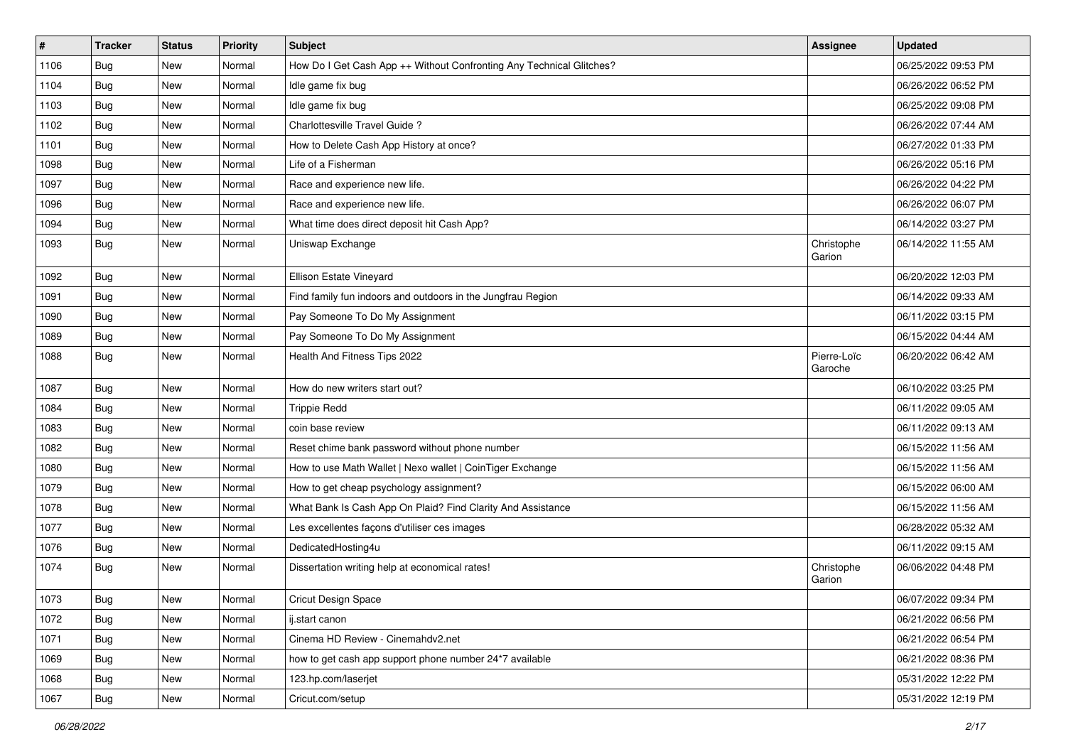| $\vert$ # | <b>Tracker</b> | <b>Status</b> | <b>Priority</b> | <b>Subject</b>                                                       | Assignee               | <b>Updated</b>      |
|-----------|----------------|---------------|-----------------|----------------------------------------------------------------------|------------------------|---------------------|
| 1106      | <b>Bug</b>     | New           | Normal          | How Do I Get Cash App ++ Without Confronting Any Technical Glitches? |                        | 06/25/2022 09:53 PM |
| 1104      | Bug            | <b>New</b>    | Normal          | Idle game fix bug                                                    |                        | 06/26/2022 06:52 PM |
| 1103      | Bug            | New           | Normal          | Idle game fix bug                                                    |                        | 06/25/2022 09:08 PM |
| 1102      | <b>Bug</b>     | New           | Normal          | Charlottesville Travel Guide?                                        |                        | 06/26/2022 07:44 AM |
| 1101      | Bug            | <b>New</b>    | Normal          | How to Delete Cash App History at once?                              |                        | 06/27/2022 01:33 PM |
| 1098      | Bug            | New           | Normal          | Life of a Fisherman                                                  |                        | 06/26/2022 05:16 PM |
| 1097      | <b>Bug</b>     | New           | Normal          | Race and experience new life.                                        |                        | 06/26/2022 04:22 PM |
| 1096      | Bug            | New           | Normal          | Race and experience new life.                                        |                        | 06/26/2022 06:07 PM |
| 1094      | Bug            | New           | Normal          | What time does direct deposit hit Cash App?                          |                        | 06/14/2022 03:27 PM |
| 1093      | Bug            | New           | Normal          | Uniswap Exchange                                                     | Christophe<br>Garion   | 06/14/2022 11:55 AM |
| 1092      | <b>Bug</b>     | New           | Normal          | Ellison Estate Vineyard                                              |                        | 06/20/2022 12:03 PM |
| 1091      | Bug            | <b>New</b>    | Normal          | Find family fun indoors and outdoors in the Jungfrau Region          |                        | 06/14/2022 09:33 AM |
| 1090      | <b>Bug</b>     | New           | Normal          | Pay Someone To Do My Assignment                                      |                        | 06/11/2022 03:15 PM |
| 1089      | Bug            | New           | Normal          | Pay Someone To Do My Assignment                                      |                        | 06/15/2022 04:44 AM |
| 1088      | Bug            | New           | Normal          | Health And Fitness Tips 2022                                         | Pierre-Loïc<br>Garoche | 06/20/2022 06:42 AM |
| 1087      | Bug            | <b>New</b>    | Normal          | How do new writers start out?                                        |                        | 06/10/2022 03:25 PM |
| 1084      | Bug            | New           | Normal          | <b>Trippie Redd</b>                                                  |                        | 06/11/2022 09:05 AM |
| 1083      | Bug            | New           | Normal          | coin base review                                                     |                        | 06/11/2022 09:13 AM |
| 1082      | Bug            | <b>New</b>    | Normal          | Reset chime bank password without phone number                       |                        | 06/15/2022 11:56 AM |
| 1080      | Bug            | New           | Normal          | How to use Math Wallet   Nexo wallet   CoinTiger Exchange            |                        | 06/15/2022 11:56 AM |
| 1079      | Bug            | New           | Normal          | How to get cheap psychology assignment?                              |                        | 06/15/2022 06:00 AM |
| 1078      | Bug            | New           | Normal          | What Bank Is Cash App On Plaid? Find Clarity And Assistance          |                        | 06/15/2022 11:56 AM |
| 1077      | <b>Bug</b>     | New           | Normal          | Les excellentes façons d'utiliser ces images                         |                        | 06/28/2022 05:32 AM |
| 1076      | <b>Bug</b>     | <b>New</b>    | Normal          | DedicatedHosting4u                                                   |                        | 06/11/2022 09:15 AM |
| 1074      | Bug            | New           | Normal          | Dissertation writing help at economical rates!                       | Christophe<br>Garion   | 06/06/2022 04:48 PM |
| 1073      | Bug            | New           | Normal          | Cricut Design Space                                                  |                        | 06/07/2022 09:34 PM |
| 1072      | Bug            | New           | Normal          | ij.start canon                                                       |                        | 06/21/2022 06:56 PM |
| 1071      | <b>Bug</b>     | New           | Normal          | Cinema HD Review - Cinemahdv2.net                                    |                        | 06/21/2022 06:54 PM |
| 1069      | Bug            | New           | Normal          | how to get cash app support phone number 24*7 available              |                        | 06/21/2022 08:36 PM |
| 1068      | Bug            | New           | Normal          | 123.hp.com/laserjet                                                  |                        | 05/31/2022 12:22 PM |
| 1067      | <b>Bug</b>     | New           | Normal          | Cricut.com/setup                                                     |                        | 05/31/2022 12:19 PM |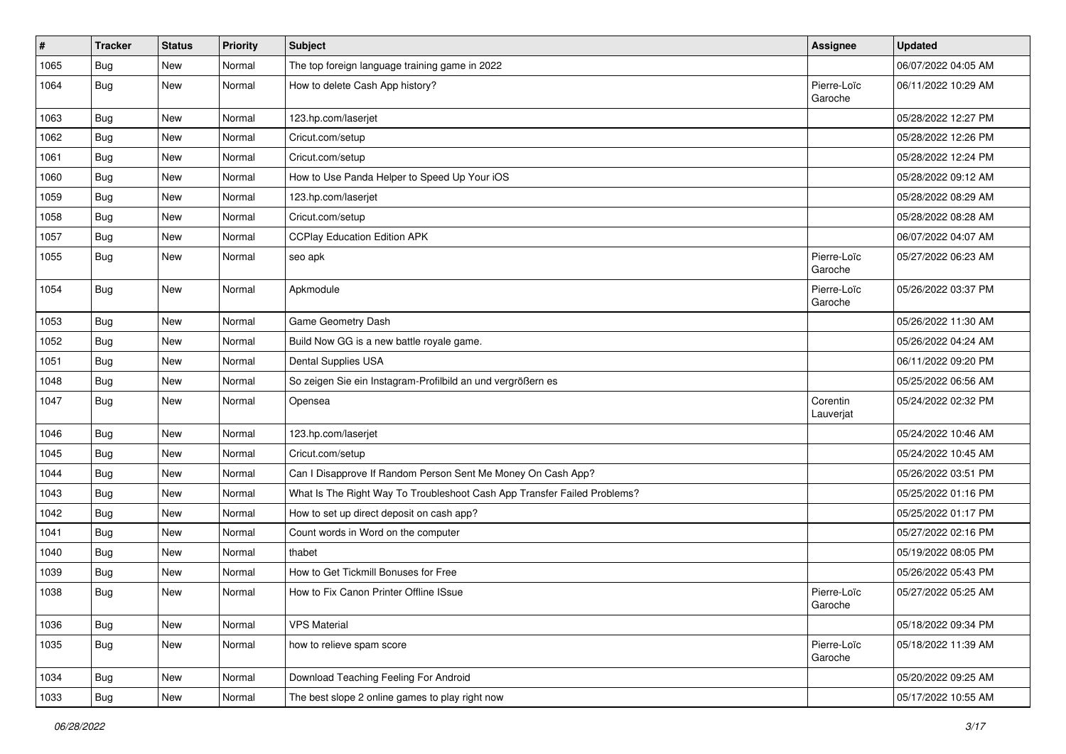| $\vert$ # | <b>Tracker</b> | <b>Status</b> | <b>Priority</b> | <b>Subject</b>                                                           | <b>Assignee</b>        | <b>Updated</b>      |
|-----------|----------------|---------------|-----------------|--------------------------------------------------------------------------|------------------------|---------------------|
| 1065      | <b>Bug</b>     | New           | Normal          | The top foreign language training game in 2022                           |                        | 06/07/2022 04:05 AM |
| 1064      | Bug            | New           | Normal          | How to delete Cash App history?                                          | Pierre-Loïc<br>Garoche | 06/11/2022 10:29 AM |
| 1063      | Bug            | <b>New</b>    | Normal          | 123.hp.com/laserjet                                                      |                        | 05/28/2022 12:27 PM |
| 1062      | Bug            | <b>New</b>    | Normal          | Cricut.com/setup                                                         |                        | 05/28/2022 12:26 PM |
| 1061      | Bug            | New           | Normal          | Cricut.com/setup                                                         |                        | 05/28/2022 12:24 PM |
| 1060      | Bug            | New           | Normal          | How to Use Panda Helper to Speed Up Your iOS                             |                        | 05/28/2022 09:12 AM |
| 1059      | Bug            | New           | Normal          | 123.hp.com/laserjet                                                      |                        | 05/28/2022 08:29 AM |
| 1058      | Bug            | New           | Normal          | Cricut.com/setup                                                         |                        | 05/28/2022 08:28 AM |
| 1057      | Bug            | <b>New</b>    | Normal          | <b>CCPlay Education Edition APK</b>                                      |                        | 06/07/2022 04:07 AM |
| 1055      | Bug            | New           | Normal          | seo apk                                                                  | Pierre-Loïc<br>Garoche | 05/27/2022 06:23 AM |
| 1054      | Bug            | <b>New</b>    | Normal          | Apkmodule                                                                | Pierre-Loïc<br>Garoche | 05/26/2022 03:37 PM |
| 1053      | Bug            | <b>New</b>    | Normal          | Game Geometry Dash                                                       |                        | 05/26/2022 11:30 AM |
| 1052      | Bug            | New           | Normal          | Build Now GG is a new battle royale game.                                |                        | 05/26/2022 04:24 AM |
| 1051      | Bug            | New           | Normal          | Dental Supplies USA                                                      |                        | 06/11/2022 09:20 PM |
| 1048      | Bug            | <b>New</b>    | Normal          | So zeigen Sie ein Instagram-Profilbild an und vergrößern es              |                        | 05/25/2022 06:56 AM |
| 1047      | Bug            | New           | Normal          | Opensea                                                                  | Corentin<br>Lauverjat  | 05/24/2022 02:32 PM |
| 1046      | Bug            | <b>New</b>    | Normal          | 123.hp.com/laserjet                                                      |                        | 05/24/2022 10:46 AM |
| 1045      | Bug            | New           | Normal          | Cricut.com/setup                                                         |                        | 05/24/2022 10:45 AM |
| 1044      | Bug            | New           | Normal          | Can I Disapprove If Random Person Sent Me Money On Cash App?             |                        | 05/26/2022 03:51 PM |
| 1043      | Bug            | New           | Normal          | What Is The Right Way To Troubleshoot Cash App Transfer Failed Problems? |                        | 05/25/2022 01:16 PM |
| 1042      | <b>Bug</b>     | New           | Normal          | How to set up direct deposit on cash app?                                |                        | 05/25/2022 01:17 PM |
| 1041      | Bug            | <b>New</b>    | Normal          | Count words in Word on the computer                                      |                        | 05/27/2022 02:16 PM |
| 1040      | Bug            | New           | Normal          | thabet                                                                   |                        | 05/19/2022 08:05 PM |
| 1039      | Bug            | New           | Normal          | How to Get Tickmill Bonuses for Free                                     |                        | 05/26/2022 05:43 PM |
| 1038      | Bug            | New           | Normal          | How to Fix Canon Printer Offline ISsue                                   | Pierre-Loïc<br>Garoche | 05/27/2022 05:25 AM |
| 1036      | <b>Bug</b>     | New           | Normal          | <b>VPS Material</b>                                                      |                        | 05/18/2022 09:34 PM |
| 1035      | Bug            | New           | Normal          | how to relieve spam score                                                | Pierre-Loïc<br>Garoche | 05/18/2022 11:39 AM |
| 1034      | Bug            | New           | Normal          | Download Teaching Feeling For Android                                    |                        | 05/20/2022 09:25 AM |
| 1033      | Bug            | New           | Normal          | The best slope 2 online games to play right now                          |                        | 05/17/2022 10:55 AM |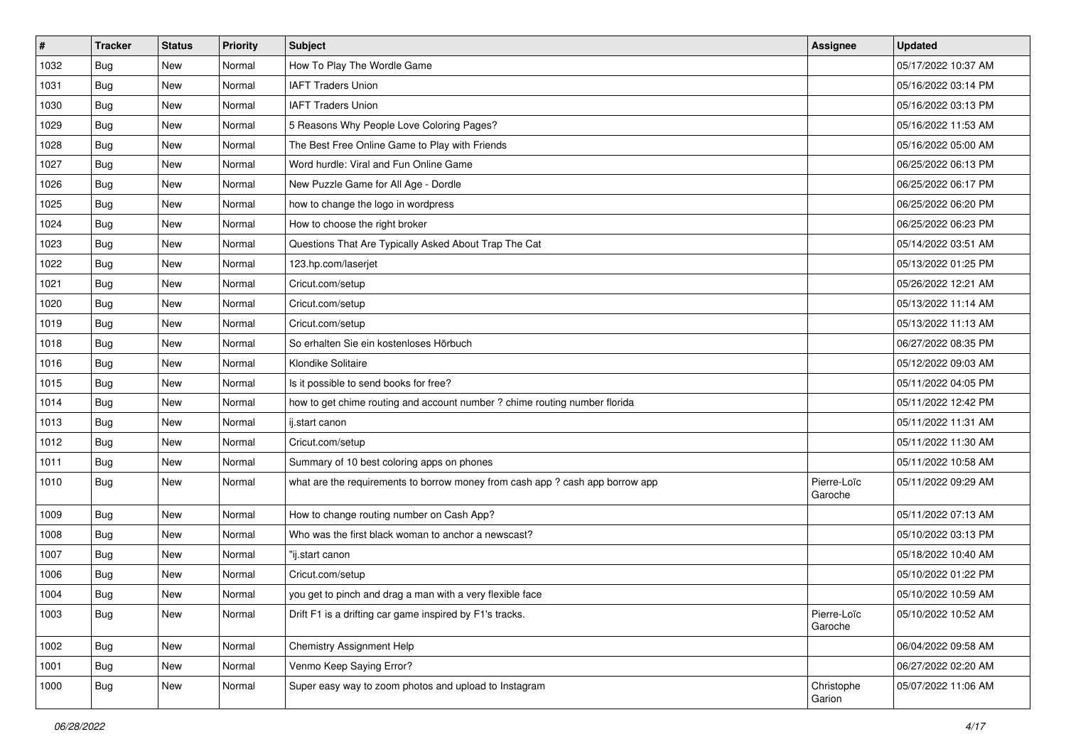| $\vert$ # | <b>Tracker</b> | <b>Status</b> | <b>Priority</b> | <b>Subject</b>                                                                | Assignee               | <b>Updated</b>      |
|-----------|----------------|---------------|-----------------|-------------------------------------------------------------------------------|------------------------|---------------------|
| 1032      | <b>Bug</b>     | New           | Normal          | How To Play The Wordle Game                                                   |                        | 05/17/2022 10:37 AM |
| 1031      | Bug            | New           | Normal          | <b>IAFT Traders Union</b>                                                     |                        | 05/16/2022 03:14 PM |
| 1030      | Bug            | New           | Normal          | <b>IAFT Traders Union</b>                                                     |                        | 05/16/2022 03:13 PM |
| 1029      | <b>Bug</b>     | New           | Normal          | 5 Reasons Why People Love Coloring Pages?                                     |                        | 05/16/2022 11:53 AM |
| 1028      | <b>Bug</b>     | <b>New</b>    | Normal          | The Best Free Online Game to Play with Friends                                |                        | 05/16/2022 05:00 AM |
| 1027      | <b>Bug</b>     | New           | Normal          | Word hurdle: Viral and Fun Online Game                                        |                        | 06/25/2022 06:13 PM |
| 1026      | <b>Bug</b>     | New           | Normal          | New Puzzle Game for All Age - Dordle                                          |                        | 06/25/2022 06:17 PM |
| 1025      | Bug            | New           | Normal          | how to change the logo in wordpress                                           |                        | 06/25/2022 06:20 PM |
| 1024      | <b>Bug</b>     | New           | Normal          | How to choose the right broker                                                |                        | 06/25/2022 06:23 PM |
| 1023      | Bug            | <b>New</b>    | Normal          | Questions That Are Typically Asked About Trap The Cat                         |                        | 05/14/2022 03:51 AM |
| 1022      | Bug            | New           | Normal          | 123.hp.com/laserjet                                                           |                        | 05/13/2022 01:25 PM |
| 1021      | <b>Bug</b>     | New           | Normal          | Cricut.com/setup                                                              |                        | 05/26/2022 12:21 AM |
| 1020      | Bug            | New           | Normal          | Cricut.com/setup                                                              |                        | 05/13/2022 11:14 AM |
| 1019      | <b>Bug</b>     | <b>New</b>    | Normal          | Cricut.com/setup                                                              |                        | 05/13/2022 11:13 AM |
| 1018      | Bug            | New           | Normal          | So erhalten Sie ein kostenloses Hörbuch                                       |                        | 06/27/2022 08:35 PM |
| 1016      | Bug            | New           | Normal          | Klondike Solitaire                                                            |                        | 05/12/2022 09:03 AM |
| 1015      | Bug            | New           | Normal          | Is it possible to send books for free?                                        |                        | 05/11/2022 04:05 PM |
| 1014      | Bug            | <b>New</b>    | Normal          | how to get chime routing and account number ? chime routing number florida    |                        | 05/11/2022 12:42 PM |
| 1013      | Bug            | New           | Normal          | ij.start canon                                                                |                        | 05/11/2022 11:31 AM |
| 1012      | Bug            | New           | Normal          | Cricut.com/setup                                                              |                        | 05/11/2022 11:30 AM |
| 1011      | Bug            | New           | Normal          | Summary of 10 best coloring apps on phones                                    |                        | 05/11/2022 10:58 AM |
| 1010      | <b>Bug</b>     | New           | Normal          | what are the requirements to borrow money from cash app ? cash app borrow app | Pierre-Loïc<br>Garoche | 05/11/2022 09:29 AM |
| 1009      | Bug            | New           | Normal          | How to change routing number on Cash App?                                     |                        | 05/11/2022 07:13 AM |
| 1008      | Bug            | New           | Normal          | Who was the first black woman to anchor a newscast?                           |                        | 05/10/2022 03:13 PM |
| 1007      | Bug            | <b>New</b>    | Normal          | "ij.start canon                                                               |                        | 05/18/2022 10:40 AM |
| 1006      | <b>Bug</b>     | New           | Normal          | Cricut.com/setup                                                              |                        | 05/10/2022 01:22 PM |
| 1004      | <b>Bug</b>     | New           | Normal          | you get to pinch and drag a man with a very flexible face                     |                        | 05/10/2022 10:59 AM |
| 1003      | <b>Bug</b>     | New           | Normal          | Drift F1 is a drifting car game inspired by F1's tracks.                      | Pierre-Loïc<br>Garoche | 05/10/2022 10:52 AM |
| 1002      | <b>Bug</b>     | New           | Normal          | Chemistry Assignment Help                                                     |                        | 06/04/2022 09:58 AM |
| 1001      | <b>Bug</b>     | New           | Normal          | Venmo Keep Saying Error?                                                      |                        | 06/27/2022 02:20 AM |
| 1000      | <b>Bug</b>     | New           | Normal          | Super easy way to zoom photos and upload to Instagram                         | Christophe<br>Garion   | 05/07/2022 11:06 AM |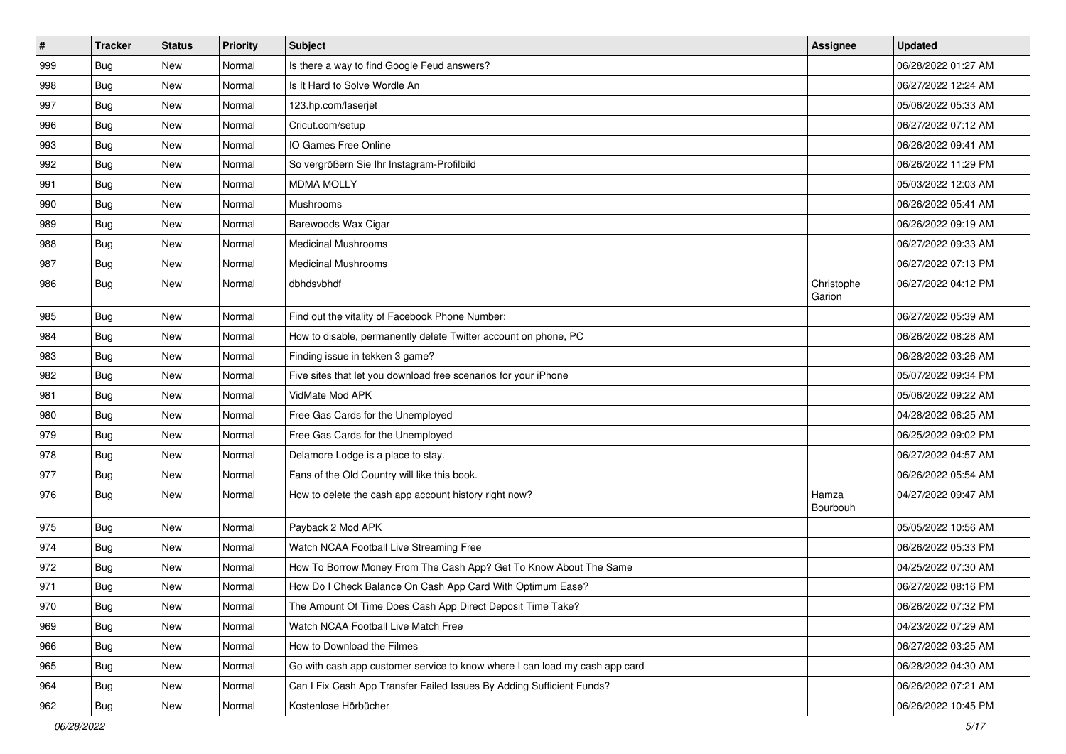| $\sharp$ | <b>Tracker</b> | <b>Status</b> | Priority | <b>Subject</b>                                                              | <b>Assignee</b>      | <b>Updated</b>      |
|----------|----------------|---------------|----------|-----------------------------------------------------------------------------|----------------------|---------------------|
| 999      | <b>Bug</b>     | New           | Normal   | Is there a way to find Google Feud answers?                                 |                      | 06/28/2022 01:27 AM |
| 998      | Bug            | <b>New</b>    | Normal   | Is It Hard to Solve Wordle An                                               |                      | 06/27/2022 12:24 AM |
| 997      | Bug            | New           | Normal   | 123.hp.com/laserjet                                                         |                      | 05/06/2022 05:33 AM |
| 996      | <b>Bug</b>     | New           | Normal   | Cricut.com/setup                                                            |                      | 06/27/2022 07:12 AM |
| 993      | Bug            | New           | Normal   | IO Games Free Online                                                        |                      | 06/26/2022 09:41 AM |
| 992      | <b>Bug</b>     | New           | Normal   | So vergrößern Sie Ihr Instagram-Profilbild                                  |                      | 06/26/2022 11:29 PM |
| 991      | Bug            | New           | Normal   | <b>MDMA MOLLY</b>                                                           |                      | 05/03/2022 12:03 AM |
| 990      | Bug            | New           | Normal   | Mushrooms                                                                   |                      | 06/26/2022 05:41 AM |
| 989      | Bug            | New           | Normal   | Barewoods Wax Cigar                                                         |                      | 06/26/2022 09:19 AM |
| 988      | Bug            | New           | Normal   | <b>Medicinal Mushrooms</b>                                                  |                      | 06/27/2022 09:33 AM |
| 987      | <b>Bug</b>     | New           | Normal   | <b>Medicinal Mushrooms</b>                                                  |                      | 06/27/2022 07:13 PM |
| 986      | <b>Bug</b>     | New           | Normal   | dbhdsvbhdf                                                                  | Christophe<br>Garion | 06/27/2022 04:12 PM |
| 985      | Bug            | New           | Normal   | Find out the vitality of Facebook Phone Number:                             |                      | 06/27/2022 05:39 AM |
| 984      | Bug            | New           | Normal   | How to disable, permanently delete Twitter account on phone, PC             |                      | 06/26/2022 08:28 AM |
| 983      | <b>Bug</b>     | New           | Normal   | Finding issue in tekken 3 game?                                             |                      | 06/28/2022 03:26 AM |
| 982      | <b>Bug</b>     | New           | Normal   | Five sites that let you download free scenarios for your iPhone             |                      | 05/07/2022 09:34 PM |
| 981      | Bug            | New           | Normal   | VidMate Mod APK                                                             |                      | 05/06/2022 09:22 AM |
| 980      | <b>Bug</b>     | New           | Normal   | Free Gas Cards for the Unemployed                                           |                      | 04/28/2022 06:25 AM |
| 979      | Bug            | New           | Normal   | Free Gas Cards for the Unemployed                                           |                      | 06/25/2022 09:02 PM |
| 978      | Bug            | New           | Normal   | Delamore Lodge is a place to stay.                                          |                      | 06/27/2022 04:57 AM |
| 977      | <b>Bug</b>     | New           | Normal   | Fans of the Old Country will like this book.                                |                      | 06/26/2022 05:54 AM |
| 976      | Bug            | New           | Normal   | How to delete the cash app account history right now?                       | Hamza<br>Bourbouh    | 04/27/2022 09:47 AM |
| 975      | Bug            | New           | Normal   | Payback 2 Mod APK                                                           |                      | 05/05/2022 10:56 AM |
| 974      | Bug            | New           | Normal   | Watch NCAA Football Live Streaming Free                                     |                      | 06/26/2022 05:33 PM |
| 972      | <b>Bug</b>     | New           | Normal   | How To Borrow Money From The Cash App? Get To Know About The Same           |                      | 04/25/2022 07:30 AM |
| 971      | <b>Bug</b>     | New           | Normal   | How Do I Check Balance On Cash App Card With Optimum Ease?                  |                      | 06/27/2022 08:16 PM |
| 970      | Bug            | New           | Normal   | The Amount Of Time Does Cash App Direct Deposit Time Take?                  |                      | 06/26/2022 07:32 PM |
| 969      | Bug            | New           | Normal   | Watch NCAA Football Live Match Free                                         |                      | 04/23/2022 07:29 AM |
| 966      | Bug            | New           | Normal   | How to Download the Filmes                                                  |                      | 06/27/2022 03:25 AM |
| 965      | <b>Bug</b>     | New           | Normal   | Go with cash app customer service to know where I can load my cash app card |                      | 06/28/2022 04:30 AM |
| 964      | <b>Bug</b>     | New           | Normal   | Can I Fix Cash App Transfer Failed Issues By Adding Sufficient Funds?       |                      | 06/26/2022 07:21 AM |
| 962      | Bug            | New           | Normal   | Kostenlose Hörbücher                                                        |                      | 06/26/2022 10:45 PM |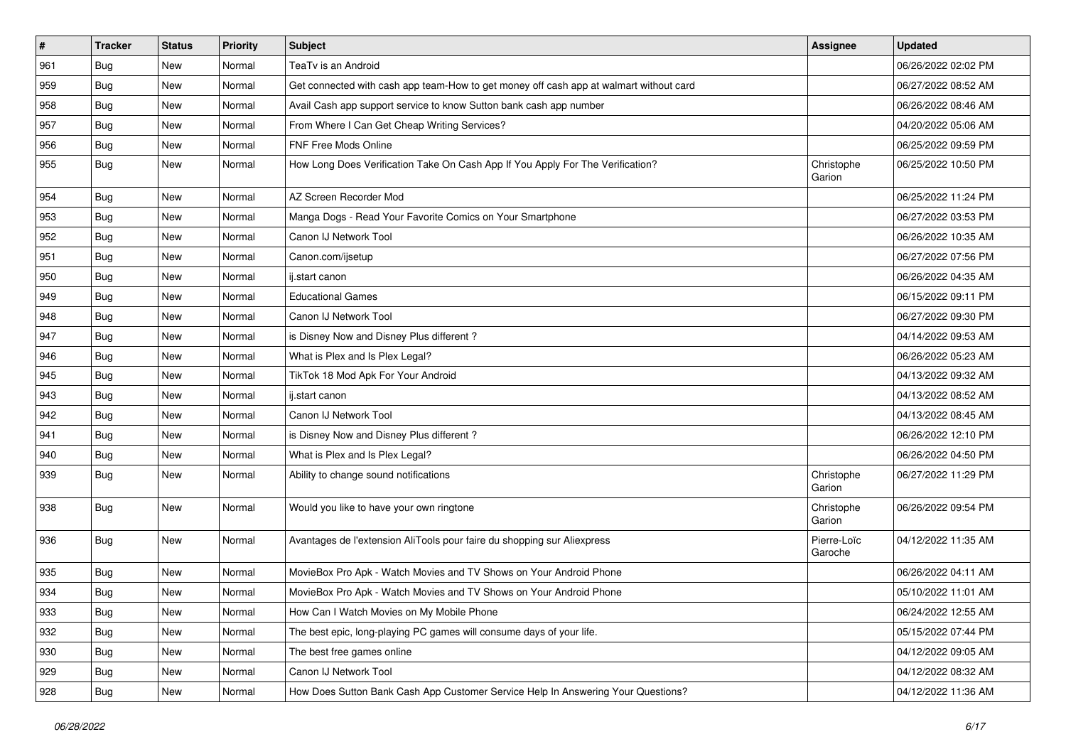| $\vert$ # | <b>Tracker</b> | <b>Status</b> | <b>Priority</b> | Subject                                                                                | Assignee               | <b>Updated</b>      |
|-----------|----------------|---------------|-----------------|----------------------------------------------------------------------------------------|------------------------|---------------------|
| 961       | <b>Bug</b>     | New           | Normal          | TeaTv is an Android                                                                    |                        | 06/26/2022 02:02 PM |
| 959       | Bug            | New           | Normal          | Get connected with cash app team-How to get money off cash app at walmart without card |                        | 06/27/2022 08:52 AM |
| 958       | Bug            | <b>New</b>    | Normal          | Avail Cash app support service to know Sutton bank cash app number                     |                        | 06/26/2022 08:46 AM |
| 957       | Bug            | <b>New</b>    | Normal          | From Where I Can Get Cheap Writing Services?                                           |                        | 04/20/2022 05:06 AM |
| 956       | Bug            | <b>New</b>    | Normal          | FNF Free Mods Online                                                                   |                        | 06/25/2022 09:59 PM |
| 955       | Bug            | New           | Normal          | How Long Does Verification Take On Cash App If You Apply For The Verification?         | Christophe<br>Garion   | 06/25/2022 10:50 PM |
| 954       | Bug            | <b>New</b>    | Normal          | AZ Screen Recorder Mod                                                                 |                        | 06/25/2022 11:24 PM |
| 953       | Bug            | <b>New</b>    | Normal          | Manga Dogs - Read Your Favorite Comics on Your Smartphone                              |                        | 06/27/2022 03:53 PM |
| 952       | Bug            | <b>New</b>    | Normal          | Canon IJ Network Tool                                                                  |                        | 06/26/2022 10:35 AM |
| 951       | Bug            | New           | Normal          | Canon.com/ijsetup                                                                      |                        | 06/27/2022 07:56 PM |
| 950       | Bug            | <b>New</b>    | Normal          | ij.start canon                                                                         |                        | 06/26/2022 04:35 AM |
| 949       | Bug            | <b>New</b>    | Normal          | <b>Educational Games</b>                                                               |                        | 06/15/2022 09:11 PM |
| 948       | Bug            | New           | Normal          | Canon IJ Network Tool                                                                  |                        | 06/27/2022 09:30 PM |
| 947       | Bug            | New           | Normal          | is Disney Now and Disney Plus different?                                               |                        | 04/14/2022 09:53 AM |
| 946       | Bug            | New           | Normal          | What is Plex and Is Plex Legal?                                                        |                        | 06/26/2022 05:23 AM |
| 945       | Bug            | <b>New</b>    | Normal          | TikTok 18 Mod Apk For Your Android                                                     |                        | 04/13/2022 09:32 AM |
| 943       | Bug            | <b>New</b>    | Normal          | ij.start canon                                                                         |                        | 04/13/2022 08:52 AM |
| 942       | <b>Bug</b>     | New           | Normal          | Canon IJ Network Tool                                                                  |                        | 04/13/2022 08:45 AM |
| 941       | Bug            | New           | Normal          | is Disney Now and Disney Plus different?                                               |                        | 06/26/2022 12:10 PM |
| 940       | Bug            | <b>New</b>    | Normal          | What is Plex and Is Plex Legal?                                                        |                        | 06/26/2022 04:50 PM |
| 939       | Bug            | New           | Normal          | Ability to change sound notifications                                                  | Christophe<br>Garion   | 06/27/2022 11:29 PM |
| 938       | Bug            | <b>New</b>    | Normal          | Would you like to have your own ringtone                                               | Christophe<br>Garion   | 06/26/2022 09:54 PM |
| 936       | Bug            | <b>New</b>    | Normal          | Avantages de l'extension AliTools pour faire du shopping sur Aliexpress                | Pierre-Loïc<br>Garoche | 04/12/2022 11:35 AM |
| 935       | <b>Bug</b>     | New           | Normal          | MovieBox Pro Apk - Watch Movies and TV Shows on Your Android Phone                     |                        | 06/26/2022 04:11 AM |
| 934       | Bug            | <b>New</b>    | Normal          | MovieBox Pro Apk - Watch Movies and TV Shows on Your Android Phone                     |                        | 05/10/2022 11:01 AM |
| 933       | <b>Bug</b>     | <b>New</b>    | Normal          | How Can I Watch Movies on My Mobile Phone                                              |                        | 06/24/2022 12:55 AM |
| 932       | Bug            | New           | Normal          | The best epic, long-playing PC games will consume days of your life.                   |                        | 05/15/2022 07:44 PM |
| 930       | <b>Bug</b>     | New           | Normal          | The best free games online                                                             |                        | 04/12/2022 09:05 AM |
| 929       | Bug            | New           | Normal          | Canon IJ Network Tool                                                                  |                        | 04/12/2022 08:32 AM |
| 928       | Bug            | New           | Normal          | How Does Sutton Bank Cash App Customer Service Help In Answering Your Questions?       |                        | 04/12/2022 11:36 AM |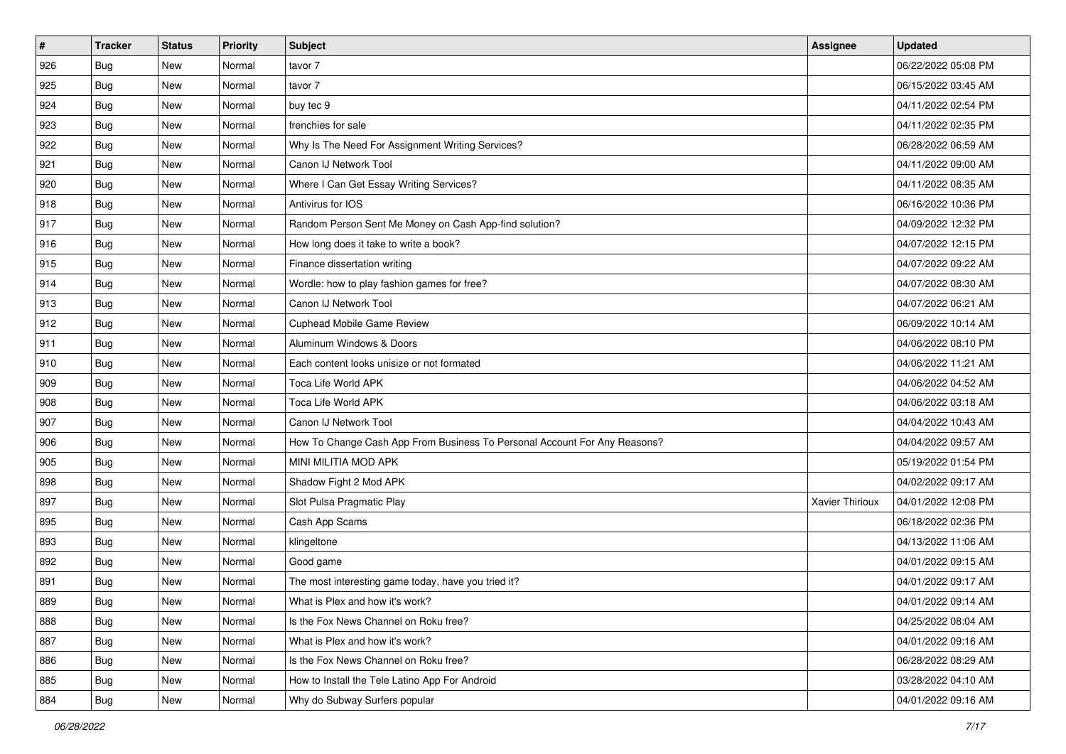| $\sharp$ | <b>Tracker</b> | <b>Status</b> | Priority | <b>Subject</b>                                                            | <b>Assignee</b> | <b>Updated</b>      |
|----------|----------------|---------------|----------|---------------------------------------------------------------------------|-----------------|---------------------|
| 926      | <b>Bug</b>     | New           | Normal   | tavor 7                                                                   |                 | 06/22/2022 05:08 PM |
| 925      | <b>Bug</b>     | New           | Normal   | tavor 7                                                                   |                 | 06/15/2022 03:45 AM |
| 924      | Bug            | New           | Normal   | buy tec 9                                                                 |                 | 04/11/2022 02:54 PM |
| 923      | Bug            | New           | Normal   | frenchies for sale                                                        |                 | 04/11/2022 02:35 PM |
| 922      | Bug            | New           | Normal   | Why Is The Need For Assignment Writing Services?                          |                 | 06/28/2022 06:59 AM |
| 921      | <b>Bug</b>     | New           | Normal   | Canon IJ Network Tool                                                     |                 | 04/11/2022 09:00 AM |
| 920      | Bug            | New           | Normal   | Where I Can Get Essay Writing Services?                                   |                 | 04/11/2022 08:35 AM |
| 918      | <b>Bug</b>     | New           | Normal   | Antivirus for IOS                                                         |                 | 06/16/2022 10:36 PM |
| 917      | Bug            | New           | Normal   | Random Person Sent Me Money on Cash App-find solution?                    |                 | 04/09/2022 12:32 PM |
| 916      | Bug            | New           | Normal   | How long does it take to write a book?                                    |                 | 04/07/2022 12:15 PM |
| 915      | <b>Bug</b>     | New           | Normal   | Finance dissertation writing                                              |                 | 04/07/2022 09:22 AM |
| 914      | Bug            | New           | Normal   | Wordle: how to play fashion games for free?                               |                 | 04/07/2022 08:30 AM |
| 913      | Bug            | New           | Normal   | Canon IJ Network Tool                                                     |                 | 04/07/2022 06:21 AM |
| 912      | Bug            | New           | Normal   | <b>Cuphead Mobile Game Review</b>                                         |                 | 06/09/2022 10:14 AM |
| 911      | Bug            | New           | Normal   | Aluminum Windows & Doors                                                  |                 | 04/06/2022 08:10 PM |
| 910      | Bug            | New           | Normal   | Each content looks unisize or not formated                                |                 | 04/06/2022 11:21 AM |
| 909      | Bug            | New           | Normal   | Toca Life World APK                                                       |                 | 04/06/2022 04:52 AM |
| 908      | Bug            | New           | Normal   | Toca Life World APK                                                       |                 | 04/06/2022 03:18 AM |
| 907      | Bug            | New           | Normal   | Canon IJ Network Tool                                                     |                 | 04/04/2022 10:43 AM |
| 906      | Bug            | New           | Normal   | How To Change Cash App From Business To Personal Account For Any Reasons? |                 | 04/04/2022 09:57 AM |
| 905      | <b>Bug</b>     | New           | Normal   | MINI MILITIA MOD APK                                                      |                 | 05/19/2022 01:54 PM |
| 898      | Bug            | New           | Normal   | Shadow Fight 2 Mod APK                                                    |                 | 04/02/2022 09:17 AM |
| 897      | Bug            | New           | Normal   | Slot Pulsa Pragmatic Play                                                 | Xavier Thirioux | 04/01/2022 12:08 PM |
| 895      | <b>Bug</b>     | New           | Normal   | Cash App Scams                                                            |                 | 06/18/2022 02:36 PM |
| 893      | Bug            | New           | Normal   | klingeltone                                                               |                 | 04/13/2022 11:06 AM |
| 892      | Bug            | New           | Normal   | Good game                                                                 |                 | 04/01/2022 09:15 AM |
| 891      | <b>Bug</b>     | New           | Normal   | The most interesting game today, have you tried it?                       |                 | 04/01/2022 09:17 AM |
| 889      | <b>Bug</b>     | New           | Normal   | What is Plex and how it's work?                                           |                 | 04/01/2022 09:14 AM |
| 888      | <b>Bug</b>     | New           | Normal   | Is the Fox News Channel on Roku free?                                     |                 | 04/25/2022 08:04 AM |
| 887      | <b>Bug</b>     | New           | Normal   | What is Plex and how it's work?                                           |                 | 04/01/2022 09:16 AM |
| 886      | <b>Bug</b>     | New           | Normal   | Is the Fox News Channel on Roku free?                                     |                 | 06/28/2022 08:29 AM |
| 885      | Bug            | New           | Normal   | How to Install the Tele Latino App For Android                            |                 | 03/28/2022 04:10 AM |
| 884      | <b>Bug</b>     | New           | Normal   | Why do Subway Surfers popular                                             |                 | 04/01/2022 09:16 AM |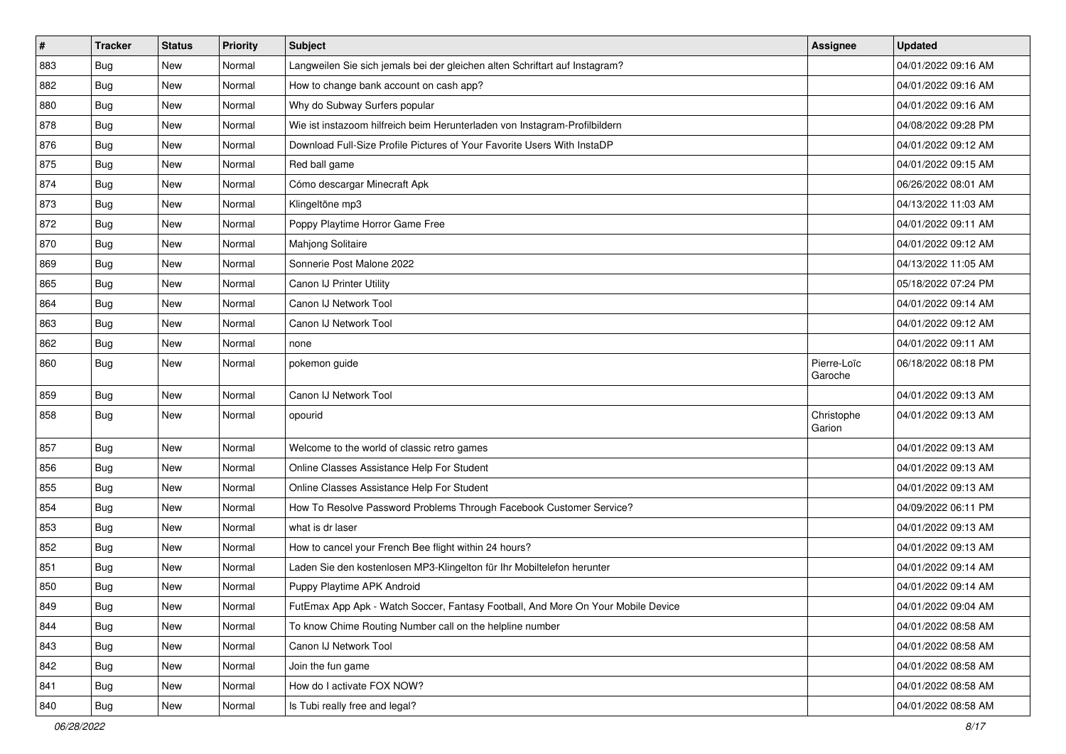| $\sharp$ | <b>Tracker</b> | <b>Status</b> | Priority | <b>Subject</b>                                                                   | <b>Assignee</b>        | <b>Updated</b>      |
|----------|----------------|---------------|----------|----------------------------------------------------------------------------------|------------------------|---------------------|
| 883      | <b>Bug</b>     | New           | Normal   | Langweilen Sie sich jemals bei der gleichen alten Schriftart auf Instagram?      |                        | 04/01/2022 09:16 AM |
| 882      | Bug            | New           | Normal   | How to change bank account on cash app?                                          |                        | 04/01/2022 09:16 AM |
| 880      | Bug            | New           | Normal   | Why do Subway Surfers popular                                                    |                        | 04/01/2022 09:16 AM |
| 878      | <b>Bug</b>     | New           | Normal   | Wie ist instazoom hilfreich beim Herunterladen von Instagram-Profilbildern       |                        | 04/08/2022 09:28 PM |
| 876      | Bug            | New           | Normal   | Download Full-Size Profile Pictures of Your Favorite Users With InstaDP          |                        | 04/01/2022 09:12 AM |
| 875      | <b>Bug</b>     | New           | Normal   | Red ball game                                                                    |                        | 04/01/2022 09:15 AM |
| 874      | Bug            | New           | Normal   | Cómo descargar Minecraft Apk                                                     |                        | 06/26/2022 08:01 AM |
| 873      | <b>Bug</b>     | New           | Normal   | Klingeltöne mp3                                                                  |                        | 04/13/2022 11:03 AM |
| 872      | Bug            | New           | Normal   | Poppy Playtime Horror Game Free                                                  |                        | 04/01/2022 09:11 AM |
| 870      | Bug            | New           | Normal   | Mahjong Solitaire                                                                |                        | 04/01/2022 09:12 AM |
| 869      | <b>Bug</b>     | New           | Normal   | Sonnerie Post Malone 2022                                                        |                        | 04/13/2022 11:05 AM |
| 865      | <b>Bug</b>     | New           | Normal   | Canon IJ Printer Utility                                                         |                        | 05/18/2022 07:24 PM |
| 864      | Bug            | New           | Normal   | Canon IJ Network Tool                                                            |                        | 04/01/2022 09:14 AM |
| 863      | <b>Bug</b>     | New           | Normal   | Canon IJ Network Tool                                                            |                        | 04/01/2022 09:12 AM |
| 862      | <b>Bug</b>     | New           | Normal   | none                                                                             |                        | 04/01/2022 09:11 AM |
| 860      | <b>Bug</b>     | New           | Normal   | pokemon guide                                                                    | Pierre-Loïc<br>Garoche | 06/18/2022 08:18 PM |
| 859      | Bug            | New           | Normal   | Canon IJ Network Tool                                                            |                        | 04/01/2022 09:13 AM |
| 858      | Bug            | New           | Normal   | opourid                                                                          | Christophe<br>Garion   | 04/01/2022 09:13 AM |
| 857      | Bug            | New           | Normal   | Welcome to the world of classic retro games                                      |                        | 04/01/2022 09:13 AM |
| 856      | Bug            | New           | Normal   | Online Classes Assistance Help For Student                                       |                        | 04/01/2022 09:13 AM |
| 855      | Bug            | <b>New</b>    | Normal   | Online Classes Assistance Help For Student                                       |                        | 04/01/2022 09:13 AM |
| 854      | <b>Bug</b>     | New           | Normal   | How To Resolve Password Problems Through Facebook Customer Service?              |                        | 04/09/2022 06:11 PM |
| 853      | <b>Bug</b>     | New           | Normal   | what is dr laser                                                                 |                        | 04/01/2022 09:13 AM |
| 852      | <b>Bug</b>     | New           | Normal   | How to cancel your French Bee flight within 24 hours?                            |                        | 04/01/2022 09:13 AM |
| 851      | Bug            | New           | Normal   | Laden Sie den kostenlosen MP3-Klingelton für Ihr Mobiltelefon herunter           |                        | 04/01/2022 09:14 AM |
| 850      | <b>Bug</b>     | New           | Normal   | Puppy Playtime APK Android                                                       |                        | 04/01/2022 09:14 AM |
| 849      | Bug            | New           | Normal   | FutEmax App Apk - Watch Soccer, Fantasy Football, And More On Your Mobile Device |                        | 04/01/2022 09:04 AM |
| 844      | <b>Bug</b>     | New           | Normal   | To know Chime Routing Number call on the helpline number                         |                        | 04/01/2022 08:58 AM |
| 843      | <b>Bug</b>     | New           | Normal   | Canon IJ Network Tool                                                            |                        | 04/01/2022 08:58 AM |
| 842      | <b>Bug</b>     | New           | Normal   | Join the fun game                                                                |                        | 04/01/2022 08:58 AM |
| 841      | <b>Bug</b>     | New           | Normal   | How do I activate FOX NOW?                                                       |                        | 04/01/2022 08:58 AM |
| 840      | <b>Bug</b>     | New           | Normal   | Is Tubi really free and legal?                                                   |                        | 04/01/2022 08:58 AM |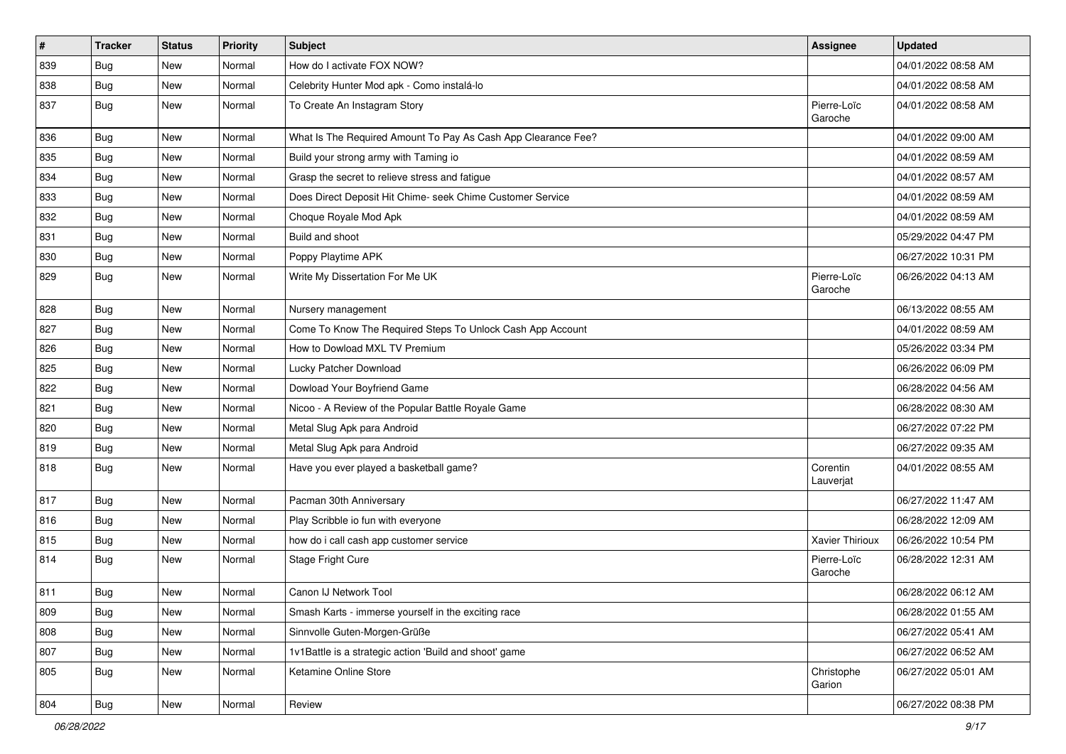| $\vert$ # | <b>Tracker</b> | <b>Status</b> | <b>Priority</b> | <b>Subject</b>                                                | <b>Assignee</b>        | <b>Updated</b>      |
|-----------|----------------|---------------|-----------------|---------------------------------------------------------------|------------------------|---------------------|
| 839       | <b>Bug</b>     | New           | Normal          | How do I activate FOX NOW?                                    |                        | 04/01/2022 08:58 AM |
| 838       | Bug            | <b>New</b>    | Normal          | Celebrity Hunter Mod apk - Como instalá-lo                    |                        | 04/01/2022 08:58 AM |
| 837       | Bug            | <b>New</b>    | Normal          | To Create An Instagram Story                                  | Pierre-Loïc<br>Garoche | 04/01/2022 08:58 AM |
| 836       | Bug            | <b>New</b>    | Normal          | What Is The Required Amount To Pay As Cash App Clearance Fee? |                        | 04/01/2022 09:00 AM |
| 835       | Bug            | New           | Normal          | Build your strong army with Taming io                         |                        | 04/01/2022 08:59 AM |
| 834       | Bug            | <b>New</b>    | Normal          | Grasp the secret to relieve stress and fatigue                |                        | 04/01/2022 08:57 AM |
| 833       | Bug            | New           | Normal          | Does Direct Deposit Hit Chime- seek Chime Customer Service    |                        | 04/01/2022 08:59 AM |
| 832       | Bug            | New           | Normal          | Choque Royale Mod Apk                                         |                        | 04/01/2022 08:59 AM |
| 831       | Bug            | New           | Normal          | Build and shoot                                               |                        | 05/29/2022 04:47 PM |
| 830       | Bug            | New           | Normal          | Poppy Playtime APK                                            |                        | 06/27/2022 10:31 PM |
| 829       | <b>Bug</b>     | New           | Normal          | Write My Dissertation For Me UK                               | Pierre-Loïc<br>Garoche | 06/26/2022 04:13 AM |
| 828       | Bug            | <b>New</b>    | Normal          | Nursery management                                            |                        | 06/13/2022 08:55 AM |
| 827       | Bug            | New           | Normal          | Come To Know The Required Steps To Unlock Cash App Account    |                        | 04/01/2022 08:59 AM |
| 826       | Bug            | New           | Normal          | How to Dowload MXL TV Premium                                 |                        | 05/26/2022 03:34 PM |
| 825       | <b>Bug</b>     | New           | Normal          | Lucky Patcher Download                                        |                        | 06/26/2022 06:09 PM |
| 822       | Bug            | <b>New</b>    | Normal          | Dowload Your Boyfriend Game                                   |                        | 06/28/2022 04:56 AM |
| 821       | <b>Bug</b>     | New           | Normal          | Nicoo - A Review of the Popular Battle Royale Game            |                        | 06/28/2022 08:30 AM |
| 820       | <b>Bug</b>     | New           | Normal          | Metal Slug Apk para Android                                   |                        | 06/27/2022 07:22 PM |
| 819       | Bug            | <b>New</b>    | Normal          | Metal Slug Apk para Android                                   |                        | 06/27/2022 09:35 AM |
| 818       | Bug            | New           | Normal          | Have you ever played a basketball game?                       | Corentin<br>Lauverjat  | 04/01/2022 08:55 AM |
| 817       | Bug            | New           | Normal          | Pacman 30th Anniversary                                       |                        | 06/27/2022 11:47 AM |
| 816       | Bug            | New           | Normal          | Play Scribble io fun with everyone                            |                        | 06/28/2022 12:09 AM |
| 815       | Bug            | <b>New</b>    | Normal          | how do i call cash app customer service                       | Xavier Thirioux        | 06/26/2022 10:54 PM |
| 814       | Bug            | New           | Normal          | Stage Fright Cure                                             | Pierre-Loïc<br>Garoche | 06/28/2022 12:31 AM |
| 811       | <b>Bug</b>     | <b>New</b>    | Normal          | Canon IJ Network Tool                                         |                        | 06/28/2022 06:12 AM |
| 809       | <b>Bug</b>     | New           | Normal          | Smash Karts - immerse yourself in the exciting race           |                        | 06/28/2022 01:55 AM |
| 808       | Bug            | New           | Normal          | Sinnvolle Guten-Morgen-Grüße                                  |                        | 06/27/2022 05:41 AM |
| 807       | Bug            | New           | Normal          | 1v1Battle is a strategic action 'Build and shoot' game        |                        | 06/27/2022 06:52 AM |
| 805       | Bug            | New           | Normal          | Ketamine Online Store                                         | Christophe<br>Garion   | 06/27/2022 05:01 AM |
| 804       | Bug            | New           | Normal          | Review                                                        |                        | 06/27/2022 08:38 PM |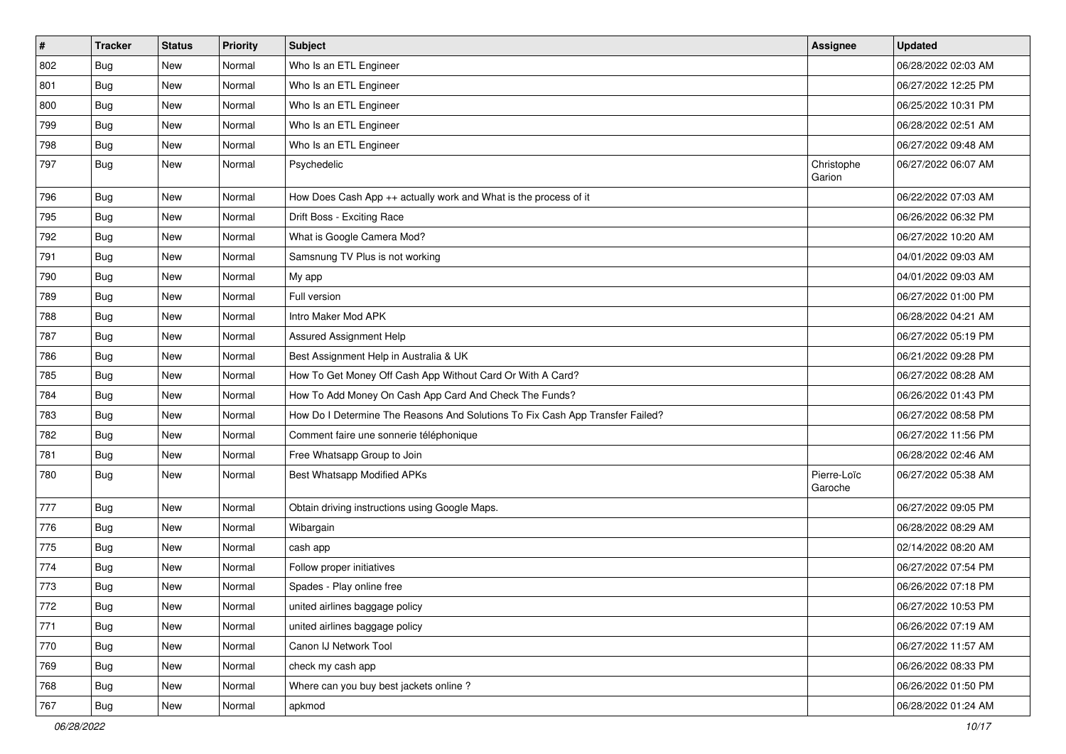| $\vert$ # | <b>Tracker</b> | <b>Status</b> | <b>Priority</b> | <b>Subject</b>                                                                | <b>Assignee</b>        | <b>Updated</b>      |
|-----------|----------------|---------------|-----------------|-------------------------------------------------------------------------------|------------------------|---------------------|
| 802       | <b>Bug</b>     | New           | Normal          | Who Is an ETL Engineer                                                        |                        | 06/28/2022 02:03 AM |
| 801       | Bug            | <b>New</b>    | Normal          | Who Is an ETL Engineer                                                        |                        | 06/27/2022 12:25 PM |
| 800       | Bug            | New           | Normal          | Who Is an ETL Engineer                                                        |                        | 06/25/2022 10:31 PM |
| 799       | <b>Bug</b>     | New           | Normal          | Who Is an ETL Engineer                                                        |                        | 06/28/2022 02:51 AM |
| 798       | Bug            | <b>New</b>    | Normal          | Who Is an ETL Engineer                                                        |                        | 06/27/2022 09:48 AM |
| 797       | Bug            | New           | Normal          | Psychedelic                                                                   | Christophe<br>Garion   | 06/27/2022 06:07 AM |
| 796       | Bug            | <b>New</b>    | Normal          | How Does Cash App ++ actually work and What is the process of it              |                        | 06/22/2022 07:03 AM |
| 795       | Bug            | New           | Normal          | Drift Boss - Exciting Race                                                    |                        | 06/26/2022 06:32 PM |
| 792       | Bug            | <b>New</b>    | Normal          | What is Google Camera Mod?                                                    |                        | 06/27/2022 10:20 AM |
| 791       | Bug            | New           | Normal          | Samsnung TV Plus is not working                                               |                        | 04/01/2022 09:03 AM |
| 790       | <b>Bug</b>     | New           | Normal          | My app                                                                        |                        | 04/01/2022 09:03 AM |
| 789       | Bug            | <b>New</b>    | Normal          | Full version                                                                  |                        | 06/27/2022 01:00 PM |
| 788       | Bug            | New           | Normal          | Intro Maker Mod APK                                                           |                        | 06/28/2022 04:21 AM |
| 787       | Bug            | <b>New</b>    | Normal          | Assured Assignment Help                                                       |                        | 06/27/2022 05:19 PM |
| 786       | Bug            | New           | Normal          | Best Assignment Help in Australia & UK                                        |                        | 06/21/2022 09:28 PM |
| 785       | Bug            | New           | Normal          | How To Get Money Off Cash App Without Card Or With A Card?                    |                        | 06/27/2022 08:28 AM |
| 784       | Bug            | <b>New</b>    | Normal          | How To Add Money On Cash App Card And Check The Funds?                        |                        | 06/26/2022 01:43 PM |
| 783       | Bug            | New           | Normal          | How Do I Determine The Reasons And Solutions To Fix Cash App Transfer Failed? |                        | 06/27/2022 08:58 PM |
| 782       | Bug            | <b>New</b>    | Normal          | Comment faire une sonnerie téléphonique                                       |                        | 06/27/2022 11:56 PM |
| 781       | Bug            | <b>New</b>    | Normal          | Free Whatsapp Group to Join                                                   |                        | 06/28/2022 02:46 AM |
| 780       | Bug            | New           | Normal          | Best Whatsapp Modified APKs                                                   | Pierre-Loïc<br>Garoche | 06/27/2022 05:38 AM |
| 777       | Bug            | <b>New</b>    | Normal          | Obtain driving instructions using Google Maps.                                |                        | 06/27/2022 09:05 PM |
| 776       | Bug            | New           | Normal          | Wibargain                                                                     |                        | 06/28/2022 08:29 AM |
| 775       | Bug            | <b>New</b>    | Normal          | cash app                                                                      |                        | 02/14/2022 08:20 AM |
| 774       | <b>Bug</b>     | New           | Normal          | Follow proper initiatives                                                     |                        | 06/27/2022 07:54 PM |
| 773       | <b>Bug</b>     | New           | Normal          | Spades - Play online free                                                     |                        | 06/26/2022 07:18 PM |
| 772       | Bug            | New           | Normal          | united airlines baggage policy                                                |                        | 06/27/2022 10:53 PM |
| 771       | Bug            | New           | Normal          | united airlines baggage policy                                                |                        | 06/26/2022 07:19 AM |
| 770       | Bug            | <b>New</b>    | Normal          | Canon IJ Network Tool                                                         |                        | 06/27/2022 11:57 AM |
| 769       | Bug            | New           | Normal          | check my cash app                                                             |                        | 06/26/2022 08:33 PM |
| 768       | Bug            | New           | Normal          | Where can you buy best jackets online?                                        |                        | 06/26/2022 01:50 PM |
| 767       | <b>Bug</b>     | New           | Normal          | apkmod                                                                        |                        | 06/28/2022 01:24 AM |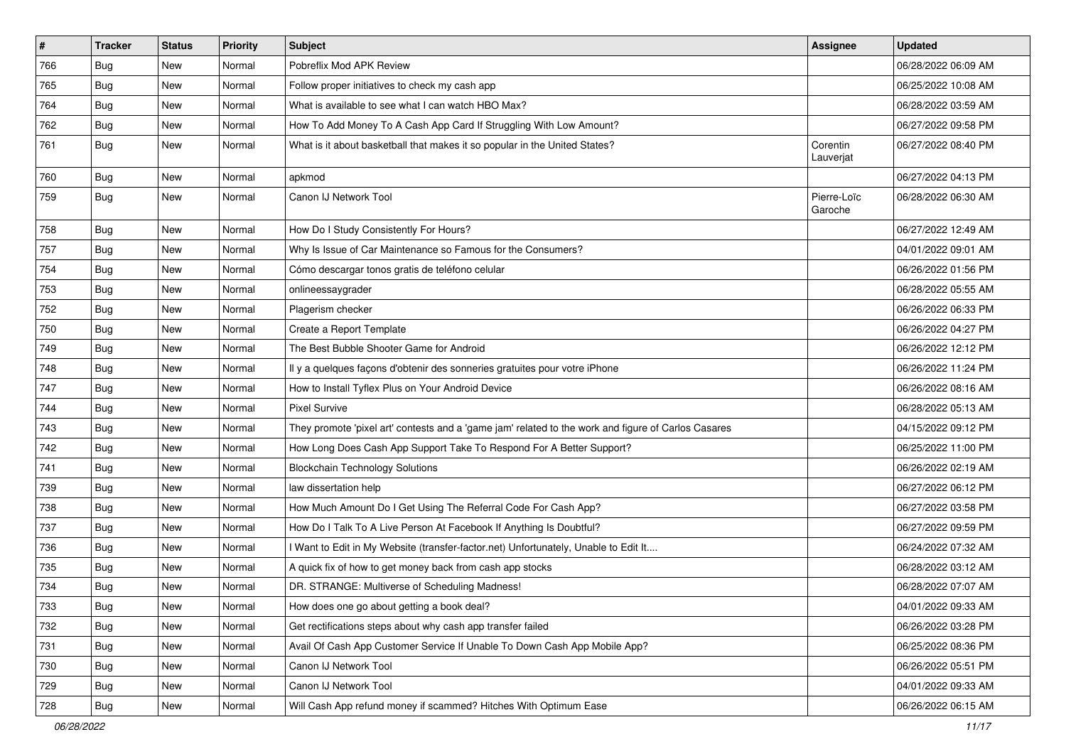| $\vert$ # | <b>Tracker</b> | <b>Status</b> | Priority | <b>Subject</b>                                                                                      | <b>Assignee</b>        | <b>Updated</b>      |
|-----------|----------------|---------------|----------|-----------------------------------------------------------------------------------------------------|------------------------|---------------------|
| 766       | <b>Bug</b>     | New           | Normal   | Pobreflix Mod APK Review                                                                            |                        | 06/28/2022 06:09 AM |
| 765       | <b>Bug</b>     | New           | Normal   | Follow proper initiatives to check my cash app                                                      |                        | 06/25/2022 10:08 AM |
| 764       | Bug            | New           | Normal   | What is available to see what I can watch HBO Max?                                                  |                        | 06/28/2022 03:59 AM |
| 762       | <b>Bug</b>     | New           | Normal   | How To Add Money To A Cash App Card If Struggling With Low Amount?                                  |                        | 06/27/2022 09:58 PM |
| 761       | Bug            | <b>New</b>    | Normal   | What is it about basketball that makes it so popular in the United States?                          | Corentin<br>Lauverjat  | 06/27/2022 08:40 PM |
| 760       | Bug            | <b>New</b>    | Normal   | apkmod                                                                                              |                        | 06/27/2022 04:13 PM |
| 759       | Bug            | New           | Normal   | Canon IJ Network Tool                                                                               | Pierre-Loïc<br>Garoche | 06/28/2022 06:30 AM |
| 758       | <b>Bug</b>     | <b>New</b>    | Normal   | How Do I Study Consistently For Hours?                                                              |                        | 06/27/2022 12:49 AM |
| 757       | <b>Bug</b>     | New           | Normal   | Why Is Issue of Car Maintenance so Famous for the Consumers?                                        |                        | 04/01/2022 09:01 AM |
| 754       | <b>Bug</b>     | New           | Normal   | Cómo descargar tonos gratis de teléfono celular                                                     |                        | 06/26/2022 01:56 PM |
| 753       | Bug            | <b>New</b>    | Normal   | onlineessaygrader                                                                                   |                        | 06/28/2022 05:55 AM |
| 752       | <b>Bug</b>     | New           | Normal   | Plagerism checker                                                                                   |                        | 06/26/2022 06:33 PM |
| 750       | <b>Bug</b>     | New           | Normal   | Create a Report Template                                                                            |                        | 06/26/2022 04:27 PM |
| 749       | Bug            | New           | Normal   | The Best Bubble Shooter Game for Android                                                            |                        | 06/26/2022 12:12 PM |
| 748       | <b>Bug</b>     | New           | Normal   | Il y a quelques façons d'obtenir des sonneries gratuites pour votre iPhone                          |                        | 06/26/2022 11:24 PM |
| 747       | Bug            | <b>New</b>    | Normal   | How to Install Tyflex Plus on Your Android Device                                                   |                        | 06/26/2022 08:16 AM |
| 744       | <b>Bug</b>     | New           | Normal   | <b>Pixel Survive</b>                                                                                |                        | 06/28/2022 05:13 AM |
| 743       | Bug            | New           | Normal   | They promote 'pixel art' contests and a 'game jam' related to the work and figure of Carlos Casares |                        | 04/15/2022 09:12 PM |
| 742       | Bug            | <b>New</b>    | Normal   | How Long Does Cash App Support Take To Respond For A Better Support?                                |                        | 06/25/2022 11:00 PM |
| 741       | Bug            | New           | Normal   | <b>Blockchain Technology Solutions</b>                                                              |                        | 06/26/2022 02:19 AM |
| 739       | <b>Bug</b>     | New           | Normal   | law dissertation help                                                                               |                        | 06/27/2022 06:12 PM |
| 738       | <b>Bug</b>     | New           | Normal   | How Much Amount Do I Get Using The Referral Code For Cash App?                                      |                        | 06/27/2022 03:58 PM |
| 737       | <b>Bug</b>     | New           | Normal   | How Do I Talk To A Live Person At Facebook If Anything Is Doubtful?                                 |                        | 06/27/2022 09:59 PM |
| 736       | Bug            | <b>New</b>    | Normal   | I Want to Edit in My Website (transfer-factor.net) Unfortunately, Unable to Edit It                 |                        | 06/24/2022 07:32 AM |
| 735       | <b>Bug</b>     | New           | Normal   | A quick fix of how to get money back from cash app stocks                                           |                        | 06/28/2022 03:12 AM |
| 734       | <b>Bug</b>     | New           | Normal   | DR. STRANGE: Multiverse of Scheduling Madness!                                                      |                        | 06/28/2022 07:07 AM |
| 733       | Bug            | New           | Normal   | How does one go about getting a book deal?                                                          |                        | 04/01/2022 09:33 AM |
| 732       | <b>Bug</b>     | New           | Normal   | Get rectifications steps about why cash app transfer failed                                         |                        | 06/26/2022 03:28 PM |
| 731       | Bug            | <b>New</b>    | Normal   | Avail Of Cash App Customer Service If Unable To Down Cash App Mobile App?                           |                        | 06/25/2022 08:36 PM |
| 730       | <b>Bug</b>     | New           | Normal   | Canon IJ Network Tool                                                                               |                        | 06/26/2022 05:51 PM |
| 729       | <b>Bug</b>     | New           | Normal   | Canon IJ Network Tool                                                                               |                        | 04/01/2022 09:33 AM |
| 728       | <b>Bug</b>     | New           | Normal   | Will Cash App refund money if scammed? Hitches With Optimum Ease                                    |                        | 06/26/2022 06:15 AM |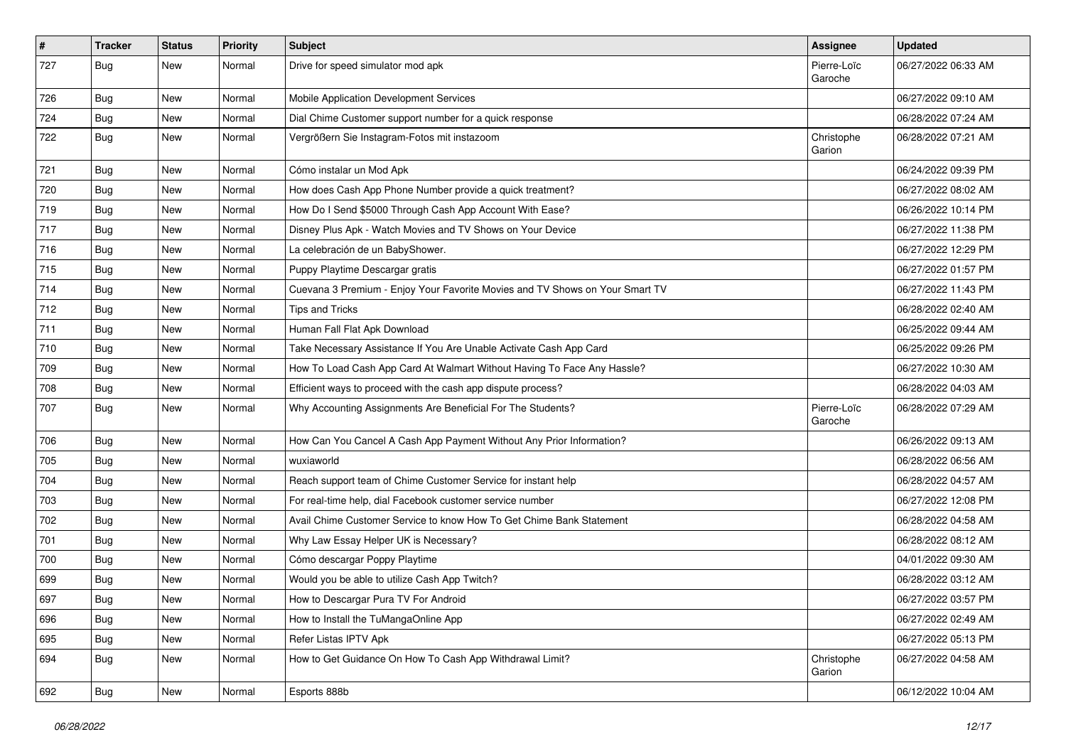| $\vert$ # | <b>Tracker</b> | <b>Status</b> | <b>Priority</b> | Subject                                                                      | <b>Assignee</b>        | <b>Updated</b>      |
|-----------|----------------|---------------|-----------------|------------------------------------------------------------------------------|------------------------|---------------------|
| 727       | <b>Bug</b>     | New           | Normal          | Drive for speed simulator mod apk                                            | Pierre-Loïc<br>Garoche | 06/27/2022 06:33 AM |
| 726       | <b>Bug</b>     | New           | Normal          | Mobile Application Development Services                                      |                        | 06/27/2022 09:10 AM |
| 724       | Bug            | New           | Normal          | Dial Chime Customer support number for a quick response                      |                        | 06/28/2022 07:24 AM |
| 722       | Bug            | New           | Normal          | Vergrößern Sie Instagram-Fotos mit instazoom                                 | Christophe<br>Garion   | 06/28/2022 07:21 AM |
| 721       | Bug            | New           | Normal          | Cómo instalar un Mod Apk                                                     |                        | 06/24/2022 09:39 PM |
| 720       | <b>Bug</b>     | New           | Normal          | How does Cash App Phone Number provide a quick treatment?                    |                        | 06/27/2022 08:02 AM |
| 719       | <b>Bug</b>     | New           | Normal          | How Do I Send \$5000 Through Cash App Account With Ease?                     |                        | 06/26/2022 10:14 PM |
| 717       | Bug            | <b>New</b>    | Normal          | Disney Plus Apk - Watch Movies and TV Shows on Your Device                   |                        | 06/27/2022 11:38 PM |
| 716       | <b>Bug</b>     | New           | Normal          | La celebración de un BabyShower.                                             |                        | 06/27/2022 12:29 PM |
| 715       | <b>Bug</b>     | New           | Normal          | Puppy Playtime Descargar gratis                                              |                        | 06/27/2022 01:57 PM |
| 714       | <b>Bug</b>     | New           | Normal          | Cuevana 3 Premium - Enjoy Your Favorite Movies and TV Shows on Your Smart TV |                        | 06/27/2022 11:43 PM |
| 712       | <b>Bug</b>     | New           | Normal          | <b>Tips and Tricks</b>                                                       |                        | 06/28/2022 02:40 AM |
| 711       | <b>Bug</b>     | New           | Normal          | Human Fall Flat Apk Download                                                 |                        | 06/25/2022 09:44 AM |
| 710       | <b>Bug</b>     | New           | Normal          | Take Necessary Assistance If You Are Unable Activate Cash App Card           |                        | 06/25/2022 09:26 PM |
| 709       | <b>Bug</b>     | New           | Normal          | How To Load Cash App Card At Walmart Without Having To Face Any Hassle?      |                        | 06/27/2022 10:30 AM |
| 708       | Bug            | New           | Normal          | Efficient ways to proceed with the cash app dispute process?                 |                        | 06/28/2022 04:03 AM |
| 707       | <b>Bug</b>     | New           | Normal          | Why Accounting Assignments Are Beneficial For The Students?                  | Pierre-Loïc<br>Garoche | 06/28/2022 07:29 AM |
| 706       | Bug            | New           | Normal          | How Can You Cancel A Cash App Payment Without Any Prior Information?         |                        | 06/26/2022 09:13 AM |
| 705       | <b>Bug</b>     | New           | Normal          | wuxiaworld                                                                   |                        | 06/28/2022 06:56 AM |
| 704       | Bug            | <b>New</b>    | Normal          | Reach support team of Chime Customer Service for instant help                |                        | 06/28/2022 04:57 AM |
| 703       | <b>Bug</b>     | New           | Normal          | For real-time help, dial Facebook customer service number                    |                        | 06/27/2022 12:08 PM |
| 702       | Bug            | New           | Normal          | Avail Chime Customer Service to know How To Get Chime Bank Statement         |                        | 06/28/2022 04:58 AM |
| 701       | <b>Bug</b>     | New           | Normal          | Why Law Essay Helper UK is Necessary?                                        |                        | 06/28/2022 08:12 AM |
| 700       | <b>Bug</b>     | New           | Normal          | Cómo descargar Poppy Playtime                                                |                        | 04/01/2022 09:30 AM |
| 699       | <b>Bug</b>     | New           | Normal          | Would you be able to utilize Cash App Twitch?                                |                        | 06/28/2022 03:12 AM |
| 697       | Bug            | New           | Normal          | How to Descargar Pura TV For Android                                         |                        | 06/27/2022 03:57 PM |
| 696       | <b>Bug</b>     | New           | Normal          | How to Install the TuMangaOnline App                                         |                        | 06/27/2022 02:49 AM |
| 695       | <b>Bug</b>     | New           | Normal          | Refer Listas IPTV Apk                                                        |                        | 06/27/2022 05:13 PM |
| 694       | <b>Bug</b>     | New           | Normal          | How to Get Guidance On How To Cash App Withdrawal Limit?                     | Christophe<br>Garion   | 06/27/2022 04:58 AM |
| 692       | <b>Bug</b>     | New           | Normal          | Esports 888b                                                                 |                        | 06/12/2022 10:04 AM |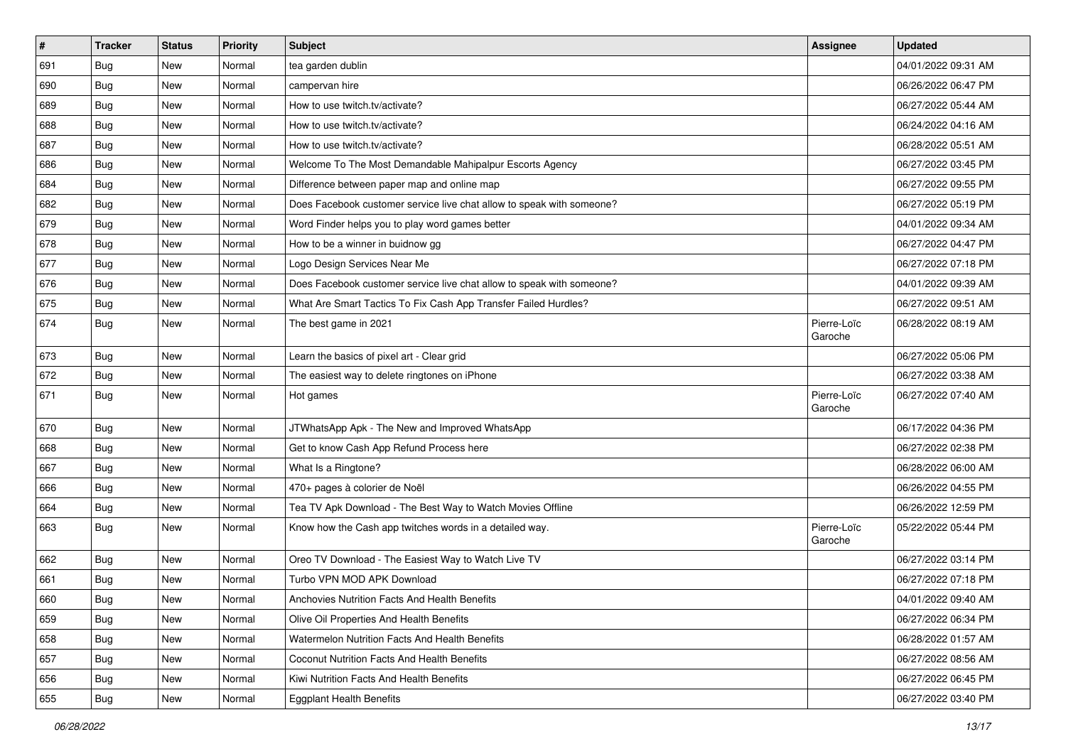| $\sharp$ | <b>Tracker</b> | <b>Status</b> | Priority | Subject                                                               | Assignee               | <b>Updated</b>      |
|----------|----------------|---------------|----------|-----------------------------------------------------------------------|------------------------|---------------------|
| 691      | Bug            | New           | Normal   | tea garden dublin                                                     |                        | 04/01/2022 09:31 AM |
| 690      | Bug            | <b>New</b>    | Normal   | campervan hire                                                        |                        | 06/26/2022 06:47 PM |
| 689      | Bug            | New           | Normal   | How to use twitch.tv/activate?                                        |                        | 06/27/2022 05:44 AM |
| 688      | Bug            | New           | Normal   | How to use twitch.tv/activate?                                        |                        | 06/24/2022 04:16 AM |
| 687      | Bug            | <b>New</b>    | Normal   | How to use twitch.tv/activate?                                        |                        | 06/28/2022 05:51 AM |
| 686      | Bug            | New           | Normal   | Welcome To The Most Demandable Mahipalpur Escorts Agency              |                        | 06/27/2022 03:45 PM |
| 684      | Bug            | New           | Normal   | Difference between paper map and online map                           |                        | 06/27/2022 09:55 PM |
| 682      | Bug            | New           | Normal   | Does Facebook customer service live chat allow to speak with someone? |                        | 06/27/2022 05:19 PM |
| 679      | <b>Bug</b>     | New           | Normal   | Word Finder helps you to play word games better                       |                        | 04/01/2022 09:34 AM |
| 678      | Bug            | <b>New</b>    | Normal   | How to be a winner in buidnow gg                                      |                        | 06/27/2022 04:47 PM |
| 677      | <b>Bug</b>     | New           | Normal   | Logo Design Services Near Me                                          |                        | 06/27/2022 07:18 PM |
| 676      | Bug            | New           | Normal   | Does Facebook customer service live chat allow to speak with someone? |                        | 04/01/2022 09:39 AM |
| 675      | Bug            | <b>New</b>    | Normal   | What Are Smart Tactics To Fix Cash App Transfer Failed Hurdles?       |                        | 06/27/2022 09:51 AM |
| 674      | <b>Bug</b>     | New           | Normal   | The best game in 2021                                                 | Pierre-Loïc<br>Garoche | 06/28/2022 08:19 AM |
| 673      | <b>Bug</b>     | New           | Normal   | Learn the basics of pixel art - Clear grid                            |                        | 06/27/2022 05:06 PM |
| 672      | Bug            | New           | Normal   | The easiest way to delete ringtones on iPhone                         |                        | 06/27/2022 03:38 AM |
| 671      | <b>Bug</b>     | <b>New</b>    | Normal   | Hot games                                                             | Pierre-Loïc<br>Garoche | 06/27/2022 07:40 AM |
| 670      | Bug            | <b>New</b>    | Normal   | JTWhatsApp Apk - The New and Improved WhatsApp                        |                        | 06/17/2022 04:36 PM |
| 668      | <b>Bug</b>     | <b>New</b>    | Normal   | Get to know Cash App Refund Process here                              |                        | 06/27/2022 02:38 PM |
| 667      | Bug            | New           | Normal   | What Is a Ringtone?                                                   |                        | 06/28/2022 06:00 AM |
| 666      | Bug            | <b>New</b>    | Normal   | 470+ pages à colorier de Noël                                         |                        | 06/26/2022 04:55 PM |
| 664      | <b>Bug</b>     | New           | Normal   | Tea TV Apk Download - The Best Way to Watch Movies Offline            |                        | 06/26/2022 12:59 PM |
| 663      | <b>Bug</b>     | New           | Normal   | Know how the Cash app twitches words in a detailed way.               | Pierre-Loïc<br>Garoche | 05/22/2022 05:44 PM |
| 662      | <b>Bug</b>     | <b>New</b>    | Normal   | Oreo TV Download - The Easiest Way to Watch Live TV                   |                        | 06/27/2022 03:14 PM |
| 661      | <b>Bug</b>     | New           | Normal   | Turbo VPN MOD APK Download                                            |                        | 06/27/2022 07:18 PM |
| 660      | Bug            | New           | Normal   | Anchovies Nutrition Facts And Health Benefits                         |                        | 04/01/2022 09:40 AM |
| 659      | <b>Bug</b>     | New           | Normal   | Olive Oil Properties And Health Benefits                              |                        | 06/27/2022 06:34 PM |
| 658      | Bug            | <b>New</b>    | Normal   | Watermelon Nutrition Facts And Health Benefits                        |                        | 06/28/2022 01:57 AM |
| 657      | <b>Bug</b>     | New           | Normal   | Coconut Nutrition Facts And Health Benefits                           |                        | 06/27/2022 08:56 AM |
| 656      | <b>Bug</b>     | New           | Normal   | Kiwi Nutrition Facts And Health Benefits                              |                        | 06/27/2022 06:45 PM |
| 655      | <b>Bug</b>     | New           | Normal   | <b>Eggplant Health Benefits</b>                                       |                        | 06/27/2022 03:40 PM |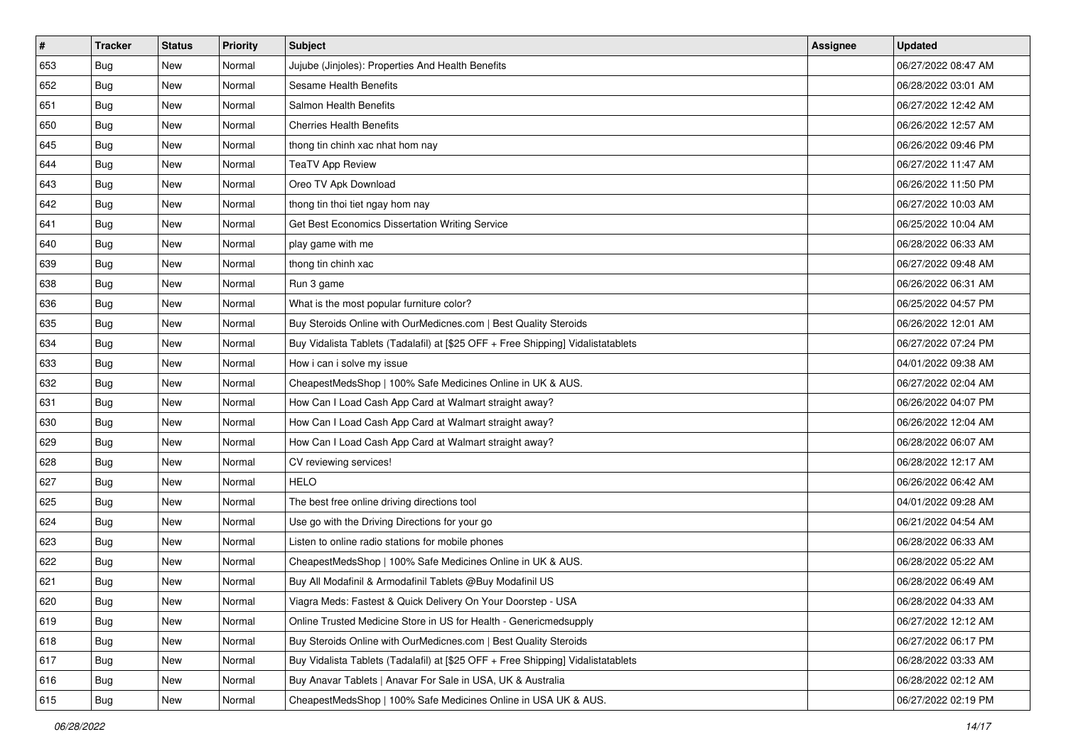| $\sharp$ | <b>Tracker</b> | <b>Status</b> | Priority | Subject                                                                          | <b>Assignee</b> | <b>Updated</b>      |
|----------|----------------|---------------|----------|----------------------------------------------------------------------------------|-----------------|---------------------|
| 653      | Bug            | New           | Normal   | Jujube (Jinjoles): Properties And Health Benefits                                |                 | 06/27/2022 08:47 AM |
| 652      | Bug            | New           | Normal   | Sesame Health Benefits                                                           |                 | 06/28/2022 03:01 AM |
| 651      | Bug            | New           | Normal   | Salmon Health Benefits                                                           |                 | 06/27/2022 12:42 AM |
| 650      | Bug            | New           | Normal   | <b>Cherries Health Benefits</b>                                                  |                 | 06/26/2022 12:57 AM |
| 645      | Bug            | New           | Normal   | thong tin chinh xac nhat hom nay                                                 |                 | 06/26/2022 09:46 PM |
| 644      | <b>Bug</b>     | New           | Normal   | <b>TeaTV App Review</b>                                                          |                 | 06/27/2022 11:47 AM |
| 643      | Bug            | New           | Normal   | Oreo TV Apk Download                                                             |                 | 06/26/2022 11:50 PM |
| 642      | Bug            | New           | Normal   | thong tin thoi tiet ngay hom nay                                                 |                 | 06/27/2022 10:03 AM |
| 641      | Bug            | New           | Normal   | Get Best Economics Dissertation Writing Service                                  |                 | 06/25/2022 10:04 AM |
| 640      | Bug            | New           | Normal   | play game with me                                                                |                 | 06/28/2022 06:33 AM |
| 639      | <b>Bug</b>     | New           | Normal   | thong tin chinh xac                                                              |                 | 06/27/2022 09:48 AM |
| 638      | Bug            | New           | Normal   | Run 3 game                                                                       |                 | 06/26/2022 06:31 AM |
| 636      | Bug            | New           | Normal   | What is the most popular furniture color?                                        |                 | 06/25/2022 04:57 PM |
| 635      | Bug            | New           | Normal   | Buy Steroids Online with OurMedicnes.com   Best Quality Steroids                 |                 | 06/26/2022 12:01 AM |
| 634      | <b>Bug</b>     | New           | Normal   | Buy Vidalista Tablets (Tadalafil) at [\$25 OFF + Free Shipping] Vidalistatablets |                 | 06/27/2022 07:24 PM |
| 633      | Bug            | New           | Normal   | How i can i solve my issue                                                       |                 | 04/01/2022 09:38 AM |
| 632      | Bug            | New           | Normal   | CheapestMedsShop   100% Safe Medicines Online in UK & AUS.                       |                 | 06/27/2022 02:04 AM |
| 631      | Bug            | New           | Normal   | How Can I Load Cash App Card at Walmart straight away?                           |                 | 06/26/2022 04:07 PM |
| 630      | Bug            | New           | Normal   | How Can I Load Cash App Card at Walmart straight away?                           |                 | 06/26/2022 12:04 AM |
| 629      | Bug            | New           | Normal   | How Can I Load Cash App Card at Walmart straight away?                           |                 | 06/28/2022 06:07 AM |
| 628      | <b>Bug</b>     | New           | Normal   | CV reviewing services!                                                           |                 | 06/28/2022 12:17 AM |
| 627      | Bug            | New           | Normal   | <b>HELO</b>                                                                      |                 | 06/26/2022 06:42 AM |
| 625      | Bug            | New           | Normal   | The best free online driving directions tool                                     |                 | 04/01/2022 09:28 AM |
| 624      | <b>Bug</b>     | New           | Normal   | Use go with the Driving Directions for your go                                   |                 | 06/21/2022 04:54 AM |
| 623      | Bug            | New           | Normal   | Listen to online radio stations for mobile phones                                |                 | 06/28/2022 06:33 AM |
| 622      | Bug            | New           | Normal   | CheapestMedsShop   100% Safe Medicines Online in UK & AUS.                       |                 | 06/28/2022 05:22 AM |
| 621      | <b>Bug</b>     | New           | Normal   | Buy All Modafinil & Armodafinil Tablets @Buy Modafinil US                        |                 | 06/28/2022 06:49 AM |
| 620      | I Bug          | New           | Normal   | Viagra Meds: Fastest & Quick Delivery On Your Doorstep - USA                     |                 | 06/28/2022 04:33 AM |
| 619      | Bug            | New           | Normal   | Online Trusted Medicine Store in US for Health - Genericmedsupply                |                 | 06/27/2022 12:12 AM |
| 618      | Bug            | New           | Normal   | Buy Steroids Online with OurMedicnes.com   Best Quality Steroids                 |                 | 06/27/2022 06:17 PM |
| 617      | <b>Bug</b>     | New           | Normal   | Buy Vidalista Tablets (Tadalafil) at [\$25 OFF + Free Shipping] Vidalistatablets |                 | 06/28/2022 03:33 AM |
| 616      | Bug            | New           | Normal   | Buy Anavar Tablets   Anavar For Sale in USA, UK & Australia                      |                 | 06/28/2022 02:12 AM |
| 615      | <b>Bug</b>     | New           | Normal   | CheapestMedsShop   100% Safe Medicines Online in USA UK & AUS.                   |                 | 06/27/2022 02:19 PM |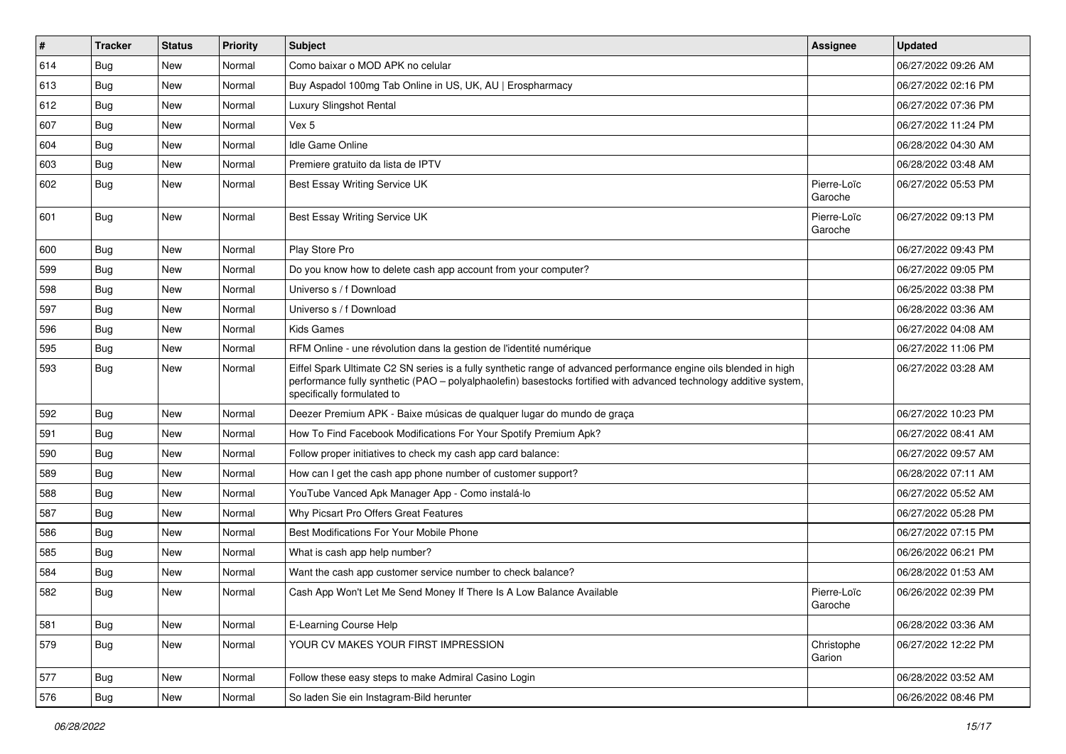| $\vert$ # | <b>Tracker</b> | <b>Status</b> | Priority | Subject                                                                                                                                                                                                                                                               | <b>Assignee</b>        | <b>Updated</b>      |
|-----------|----------------|---------------|----------|-----------------------------------------------------------------------------------------------------------------------------------------------------------------------------------------------------------------------------------------------------------------------|------------------------|---------------------|
| 614       | Bug            | New           | Normal   | Como baixar o MOD APK no celular                                                                                                                                                                                                                                      |                        | 06/27/2022 09:26 AM |
| 613       | Bug            | New           | Normal   | Buy Aspadol 100mg Tab Online in US, UK, AU   Erospharmacy                                                                                                                                                                                                             |                        | 06/27/2022 02:16 PM |
| 612       | Bug            | New           | Normal   | Luxury Slingshot Rental                                                                                                                                                                                                                                               |                        | 06/27/2022 07:36 PM |
| 607       | Bug            | New           | Normal   | Vex 5                                                                                                                                                                                                                                                                 |                        | 06/27/2022 11:24 PM |
| 604       | Bug            | <b>New</b>    | Normal   | <b>Idle Game Online</b>                                                                                                                                                                                                                                               |                        | 06/28/2022 04:30 AM |
| 603       | <b>Bug</b>     | New           | Normal   | Premiere gratuito da lista de IPTV                                                                                                                                                                                                                                    |                        | 06/28/2022 03:48 AM |
| 602       | <b>Bug</b>     | New           | Normal   | Best Essay Writing Service UK                                                                                                                                                                                                                                         | Pierre-Loïc<br>Garoche | 06/27/2022 05:53 PM |
| 601       | Bug            | New           | Normal   | Best Essay Writing Service UK                                                                                                                                                                                                                                         | Pierre-Loïc<br>Garoche | 06/27/2022 09:13 PM |
| 600       | Bug            | New           | Normal   | Play Store Pro                                                                                                                                                                                                                                                        |                        | 06/27/2022 09:43 PM |
| 599       | Bug            | New           | Normal   | Do you know how to delete cash app account from your computer?                                                                                                                                                                                                        |                        | 06/27/2022 09:05 PM |
| 598       | Bug            | <b>New</b>    | Normal   | Universo s / f Download                                                                                                                                                                                                                                               |                        | 06/25/2022 03:38 PM |
| 597       | <b>Bug</b>     | New           | Normal   | Universo s / f Download                                                                                                                                                                                                                                               |                        | 06/28/2022 03:36 AM |
| 596       | Bug            | New           | Normal   | <b>Kids Games</b>                                                                                                                                                                                                                                                     |                        | 06/27/2022 04:08 AM |
| 595       | Bug            | New           | Normal   | RFM Online - une révolution dans la gestion de l'identité numérique                                                                                                                                                                                                   |                        | 06/27/2022 11:06 PM |
| 593       | <b>Bug</b>     | New           | Normal   | Eiffel Spark Ultimate C2 SN series is a fully synthetic range of advanced performance engine oils blended in high<br>performance fully synthetic (PAO - polyalphaolefin) basestocks fortified with advanced technology additive system,<br>specifically formulated to |                        | 06/27/2022 03:28 AM |
| 592       | Bug            | New           | Normal   | Deezer Premium APK - Baixe músicas de qualquer lugar do mundo de graça                                                                                                                                                                                                |                        | 06/27/2022 10:23 PM |
| 591       | Bug            | <b>New</b>    | Normal   | How To Find Facebook Modifications For Your Spotify Premium Apk?                                                                                                                                                                                                      |                        | 06/27/2022 08:41 AM |
| 590       | <b>Bug</b>     | New           | Normal   | Follow proper initiatives to check my cash app card balance:                                                                                                                                                                                                          |                        | 06/27/2022 09:57 AM |
| 589       | Bug            | New           | Normal   | How can I get the cash app phone number of customer support?                                                                                                                                                                                                          |                        | 06/28/2022 07:11 AM |
| 588       | Bug            | New           | Normal   | YouTube Vanced Apk Manager App - Como instalá-lo                                                                                                                                                                                                                      |                        | 06/27/2022 05:52 AM |
| 587       | Bug            | New           | Normal   | Why Picsart Pro Offers Great Features                                                                                                                                                                                                                                 |                        | 06/27/2022 05:28 PM |
| 586       | Bug            | <b>New</b>    | Normal   | Best Modifications For Your Mobile Phone                                                                                                                                                                                                                              |                        | 06/27/2022 07:15 PM |
| 585       | <b>Bug</b>     | New           | Normal   | What is cash app help number?                                                                                                                                                                                                                                         |                        | 06/26/2022 06:21 PM |
| 584       | Bug            | New           | Normal   | Want the cash app customer service number to check balance?                                                                                                                                                                                                           |                        | 06/28/2022 01:53 AM |
| 582       | Bug            | New           | Normal   | Cash App Won't Let Me Send Money If There Is A Low Balance Available                                                                                                                                                                                                  | Pierre-Loïc<br>Garoche | 06/26/2022 02:39 PM |
| 581       | Bug            | New           | Normal   | E-Learning Course Help                                                                                                                                                                                                                                                |                        | 06/28/2022 03:36 AM |
| 579       | <b>Bug</b>     | <b>New</b>    | Normal   | YOUR CV MAKES YOUR FIRST IMPRESSION                                                                                                                                                                                                                                   | Christophe<br>Garion   | 06/27/2022 12:22 PM |
| 577       | Bug            | <b>New</b>    | Normal   | Follow these easy steps to make Admiral Casino Login                                                                                                                                                                                                                  |                        | 06/28/2022 03:52 AM |
| 576       | <b>Bug</b>     | New           | Normal   | So laden Sie ein Instagram-Bild herunter                                                                                                                                                                                                                              |                        | 06/26/2022 08:46 PM |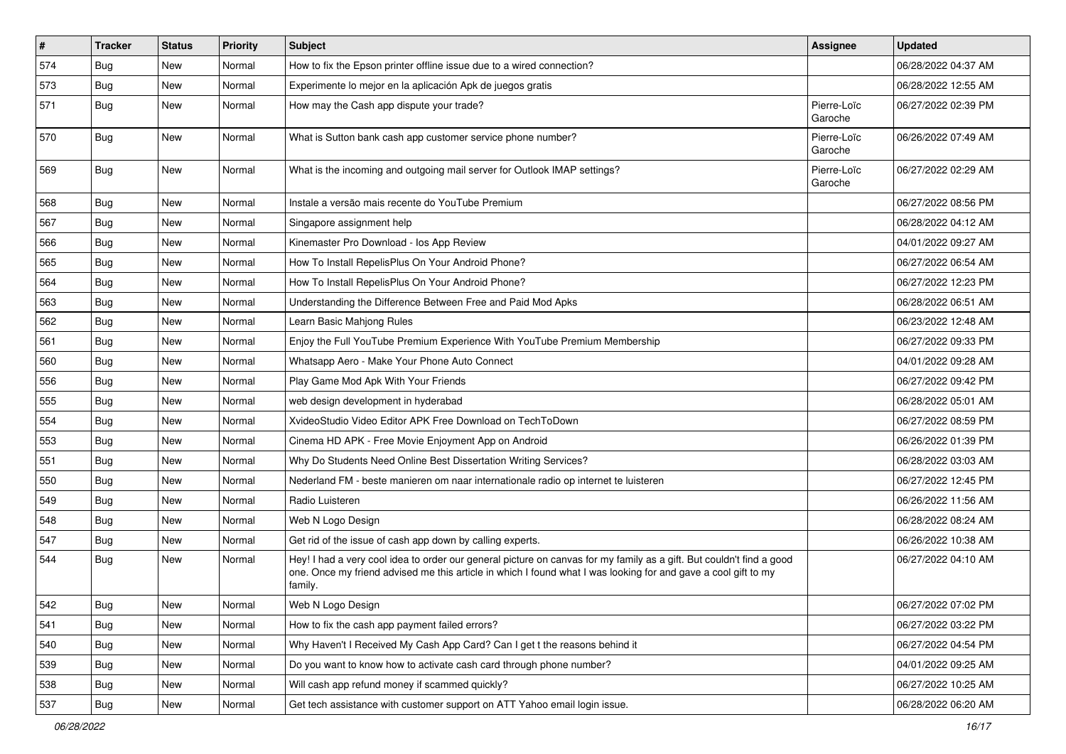| $\vert$ # | <b>Tracker</b> | <b>Status</b> | <b>Priority</b> | <b>Subject</b>                                                                                                                                                                                                                                    | <b>Assignee</b>        | <b>Updated</b>      |
|-----------|----------------|---------------|-----------------|---------------------------------------------------------------------------------------------------------------------------------------------------------------------------------------------------------------------------------------------------|------------------------|---------------------|
| 574       | <b>Bug</b>     | New           | Normal          | How to fix the Epson printer offline issue due to a wired connection?                                                                                                                                                                             |                        | 06/28/2022 04:37 AM |
| 573       | <b>Bug</b>     | New           | Normal          | Experimente lo mejor en la aplicación Apk de juegos gratis                                                                                                                                                                                        |                        | 06/28/2022 12:55 AM |
| 571       | Bug            | New           | Normal          | How may the Cash app dispute your trade?                                                                                                                                                                                                          | Pierre-Loïc<br>Garoche | 06/27/2022 02:39 PM |
| 570       | Bug            | <b>New</b>    | Normal          | What is Sutton bank cash app customer service phone number?                                                                                                                                                                                       | Pierre-Loïc<br>Garoche | 06/26/2022 07:49 AM |
| 569       | <b>Bug</b>     | New           | Normal          | What is the incoming and outgoing mail server for Outlook IMAP settings?                                                                                                                                                                          | Pierre-Loïc<br>Garoche | 06/27/2022 02:29 AM |
| 568       | <b>Bug</b>     | New           | Normal          | Instale a versão mais recente do YouTube Premium                                                                                                                                                                                                  |                        | 06/27/2022 08:56 PM |
| 567       | Bug            | New           | Normal          | Singapore assignment help                                                                                                                                                                                                                         |                        | 06/28/2022 04:12 AM |
| 566       | <b>Bug</b>     | New           | Normal          | Kinemaster Pro Download - los App Review                                                                                                                                                                                                          |                        | 04/01/2022 09:27 AM |
| 565       | <b>Bug</b>     | New           | Normal          | How To Install RepelisPlus On Your Android Phone?                                                                                                                                                                                                 |                        | 06/27/2022 06:54 AM |
| 564       | Bug            | New           | Normal          | How To Install RepelisPlus On Your Android Phone?                                                                                                                                                                                                 |                        | 06/27/2022 12:23 PM |
| 563       | <b>Bug</b>     | New           | Normal          | Understanding the Difference Between Free and Paid Mod Apks                                                                                                                                                                                       |                        | 06/28/2022 06:51 AM |
| 562       | <b>Bug</b>     | New           | Normal          | Learn Basic Mahjong Rules                                                                                                                                                                                                                         |                        | 06/23/2022 12:48 AM |
| 561       | Bug            | New           | Normal          | Enjoy the Full YouTube Premium Experience With YouTube Premium Membership                                                                                                                                                                         |                        | 06/27/2022 09:33 PM |
| 560       | Bug            | New           | Normal          | Whatsapp Aero - Make Your Phone Auto Connect                                                                                                                                                                                                      |                        | 04/01/2022 09:28 AM |
| 556       | Bug            | New           | Normal          | Play Game Mod Apk With Your Friends                                                                                                                                                                                                               |                        | 06/27/2022 09:42 PM |
| 555       | Bug            | New           | Normal          | web design development in hyderabad                                                                                                                                                                                                               |                        | 06/28/2022 05:01 AM |
| 554       | <b>Bug</b>     | New           | Normal          | XvideoStudio Video Editor APK Free Download on TechToDown                                                                                                                                                                                         |                        | 06/27/2022 08:59 PM |
| 553       | Bug            | <b>New</b>    | Normal          | Cinema HD APK - Free Movie Enjoyment App on Android                                                                                                                                                                                               |                        | 06/26/2022 01:39 PM |
| 551       | <b>Bug</b>     | New           | Normal          | Why Do Students Need Online Best Dissertation Writing Services?                                                                                                                                                                                   |                        | 06/28/2022 03:03 AM |
| 550       | <b>Bug</b>     | New           | Normal          | Nederland FM - beste manieren om naar internationale radio op internet te luisteren                                                                                                                                                               |                        | 06/27/2022 12:45 PM |
| 549       | <b>Bug</b>     | New           | Normal          | Radio Luisteren                                                                                                                                                                                                                                   |                        | 06/26/2022 11:56 AM |
| 548       | <b>Bug</b>     | New           | Normal          | Web N Logo Design                                                                                                                                                                                                                                 |                        | 06/28/2022 08:24 AM |
| 547       | Bug            | <b>New</b>    | Normal          | Get rid of the issue of cash app down by calling experts.                                                                                                                                                                                         |                        | 06/26/2022 10:38 AM |
| 544       | Bug            | New           | Normal          | Hey! I had a very cool idea to order our general picture on canvas for my family as a gift. But couldn't find a good<br>one. Once my friend advised me this article in which I found what I was looking for and gave a cool gift to my<br>family. |                        | 06/27/2022 04:10 AM |
| 542       | Bug            | New           | Normal          | Web N Logo Design                                                                                                                                                                                                                                 |                        | 06/27/2022 07:02 PM |
| 541       | <b>Bug</b>     | New           | Normal          | How to fix the cash app payment failed errors?                                                                                                                                                                                                    |                        | 06/27/2022 03:22 PM |
| 540       | <b>Bug</b>     | New           | Normal          | Why Haven't I Received My Cash App Card? Can I get t the reasons behind it                                                                                                                                                                        |                        | 06/27/2022 04:54 PM |
| 539       | <b>Bug</b>     | New           | Normal          | Do you want to know how to activate cash card through phone number?                                                                                                                                                                               |                        | 04/01/2022 09:25 AM |
| 538       | <b>Bug</b>     | New           | Normal          | Will cash app refund money if scammed quickly?                                                                                                                                                                                                    |                        | 06/27/2022 10:25 AM |
| 537       | Bug            | New           | Normal          | Get tech assistance with customer support on ATT Yahoo email login issue.                                                                                                                                                                         |                        | 06/28/2022 06:20 AM |